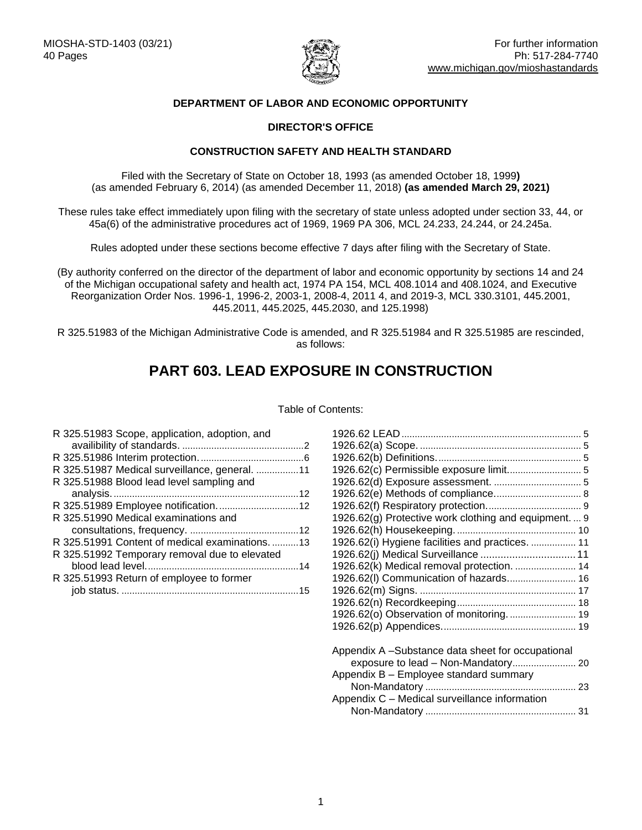

# **DEPARTMENT OF LABOR AND ECONOMIC OPPORTUNITY**

# **DIRECTOR'S OFFICE**

# **CONSTRUCTION SAFETY AND HEALTH STANDARD**

Filed with the Secretary of State on October 18, 1993 (as amended October 18, 1999**)** (as amended February 6, 2014) (as amended December 11, 2018) **(as amended March 29, 2021)**

These rules take effect immediately upon filing with the secretary of state unless adopted under section 33, 44, or 45a(6) of the administrative procedures act of 1969, 1969 PA 306, MCL 24.233, 24.244, or 24.245a.

Rules adopted under these sections become effective 7 days after filing with the Secretary of State.

(By authority conferred on the director of the department of labor and economic opportunity by sections 14 and 24 of the Michigan occupational safety and health act, 1974 PA 154, MCL 408.1014 and 408.1024, and Executive Reorganization Order Nos. 1996-1, 1996-2, 2003-1, 2008-4, 2011 4, and 2019-3, MCL 330.3101, 445.2001, 445.2011, 445.2025, 445.2030, and 125.1998)

R 325.51983 of the Michigan Administrative Code is amended, and R 325.51984 and R 325.51985 are rescinded, as follows:

# **PART 603. LEAD EXPOSURE IN CONSTRUCTION**

Table of Contents:

| R 325.51987 Medical surveillance, general.  11   |
|--------------------------------------------------|
|                                                  |
|                                                  |
|                                                  |
|                                                  |
|                                                  |
| R 325.51991 Content of medical examinations.  13 |
|                                                  |
|                                                  |
|                                                  |
|                                                  |
|                                                  |

| 1926.62(c) Permissible exposure limit 5             |  |
|-----------------------------------------------------|--|
|                                                     |  |
|                                                     |  |
|                                                     |  |
| 1926.62(g) Protective work clothing and equipment 9 |  |
|                                                     |  |
| 1926.62(i) Hygiene facilities and practices.  11    |  |
| 1926.62(j) Medical Surveillance  11                 |  |
| 1926.62(k) Medical removal protection.  14          |  |
| 1926.62(I) Communication of hazards 16              |  |
|                                                     |  |
|                                                     |  |
| 1926.62(o) Observation of monitoring.  19           |  |
|                                                     |  |
| Appendix A -Substance data sheet for occupational   |  |
|                                                     |  |
| Appendix B - Employee standard summary              |  |
|                                                     |  |
| Appendix C - Medical surveillance information       |  |
|                                                     |  |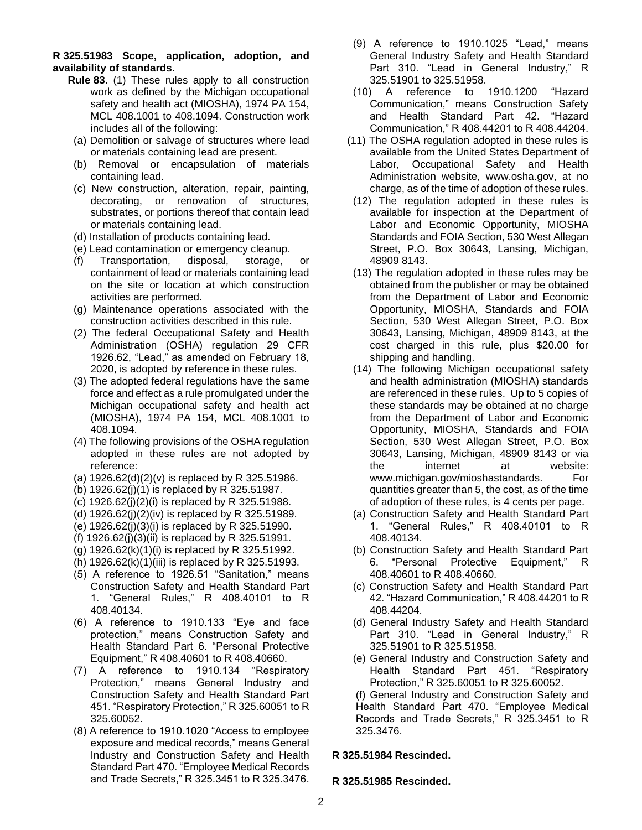#### <span id="page-1-0"></span>**R 325.51983 Scope, application, adoption, and availability of standards.**

- **Rule 83**. (1) These rules apply to all construction work as defined by the Michigan occupational safety and health act (MIOSHA), 1974 PA 154, MCL 408.1001 to 408.1094. Construction work includes all of the following:
- (a) Demolition or salvage of structures where lead or materials containing lead are present.
- (b) Removal or encapsulation of materials containing lead.
- (c) New construction, alteration, repair, painting, decorating, or renovation of structures, substrates, or portions thereof that contain lead or materials containing lead.
- (d) Installation of products containing lead.
- (e) Lead contamination or emergency cleanup.
- (f) Transportation, disposal, storage, or containment of lead or materials containing lead on the site or location at which construction activities are performed.
- (g) Maintenance operations associated with the construction activities described in this rule.
- (2) The federal Occupational Safety and Health Administration (OSHA) regulation 29 CFR 1926.62, "Lead," as amended on February 18, 2020, is adopted by reference in these rules.
- (3) The adopted federal regulations have the same force and effect as a rule promulgated under the Michigan occupational safety and health act (MIOSHA), 1974 PA 154, MCL 408.1001 to 408.1094.
- (4) The following provisions of the OSHA regulation adopted in these rules are not adopted by reference:
- (a) 1926.62(d)(2)(v) is replaced by R 325.51986.
- (b) 1926.62(j)(1) is replaced by R 325.51987.
- (c) 1926.62(j)(2)(i) is replaced by R 325.51988.
- (d) 1926.62(j)(2)(iv) is replaced by R 325.51989.
- (e) 1926.62(j)(3)(i) is replaced by R 325.51990.
- (f) 1926.62(j)(3)(ii) is replaced by R 325.51991.
- (g) 1926.62(k)(1)(i) is replaced by R 325.51992.
- (h) 1926.62(k)(1)(iii) is replaced by R 325.51993.
- (5) A reference to 1926.51 "Sanitation," means Construction Safety and Health Standard Part 1. "General Rules," R 408.40101 to R 408.40134.
- (6) A reference to 1910.133 "Eye and face protection," means Construction Safety and Health Standard Part 6. "Personal Protective Equipment," R 408.40601 to R 408.40660.
- (7) A reference to 1910.134 "Respiratory Protection," means General Industry and Construction Safety and Health Standard Part 451. "Respiratory Protection," R 325.60051 to R 325.60052.
- (8) A reference to 1910.1020 "Access to employee exposure and medical records," means General Industry and Construction Safety and Health Standard Part 470. "Employee Medical Records and Trade Secrets," R 325.3451 to R 325.3476.
- (9) A reference to 1910.1025 "Lead," means General Industry Safety and Health Standard Part 310. "Lead in General Industry," R 325.51901 to 325.51958.
- (10) A reference to 1910.1200 "Hazard Communication," means Construction Safety and Health Standard Part 42. "Hazard Communication," R 408.44201 to R 408.44204.
- (11) The OSHA regulation adopted in these rules is available from the United States Department of Labor, Occupational Safety and Health Administration website, www.osha.gov, at no charge, as of the time of adoption of these rules.
- (12) The regulation adopted in these rules is available for inspection at the Department of Labor and Economic Opportunity, MIOSHA Standards and FOIA Section, 530 West Allegan Street, P.O. Box 30643, Lansing, Michigan, 48909 8143.
- (13) The regulation adopted in these rules may be obtained from the publisher or may be obtained from the Department of Labor and Economic Opportunity, MIOSHA, Standards and FOIA Section, 530 West Allegan Street, P.O. Box 30643, Lansing, Michigan, 48909 8143, at the cost charged in this rule, plus \$20.00 for shipping and handling.
- (14) The following Michigan occupational safety and health administration (MIOSHA) standards are referenced in these rules. Up to 5 copies of these standards may be obtained at no charge from the Department of Labor and Economic Opportunity, MIOSHA, Standards and FOIA Section, 530 West Allegan Street, P.O. Box 30643, Lansing, Michigan, 48909 8143 or via the internet at website: www.michigan.gov/mioshastandards. For quantities greater than 5, the cost, as of the time of adoption of these rules, is 4 cents per page.
- (a) Construction Safety and Health Standard Part 1. "General Rules," R 408.40101 to R 408.40134.
- (b) Construction Safety and Health Standard Part 6. "Personal Protective Equipment," R 408.40601 to R 408.40660.
- (c) Construction Safety and Health Standard Part 42. "Hazard Communication," R 408.44201 to R 408.44204.
- (d) General Industry Safety and Health Standard Part 310. "Lead in General Industry," R 325.51901 to R 325.51958.
- (e) General Industry and Construction Safety and Health Standard Part 451. "Respiratory Protection," R 325.60051 to R 325.60052.
- (f) General Industry and Construction Safety and Health Standard Part 470. "Employee Medical Records and Trade Secrets," R 325.3451 to R 325.3476.

### **R 325.51984 Rescinded.**

#### **R 325.51985 Rescinded.**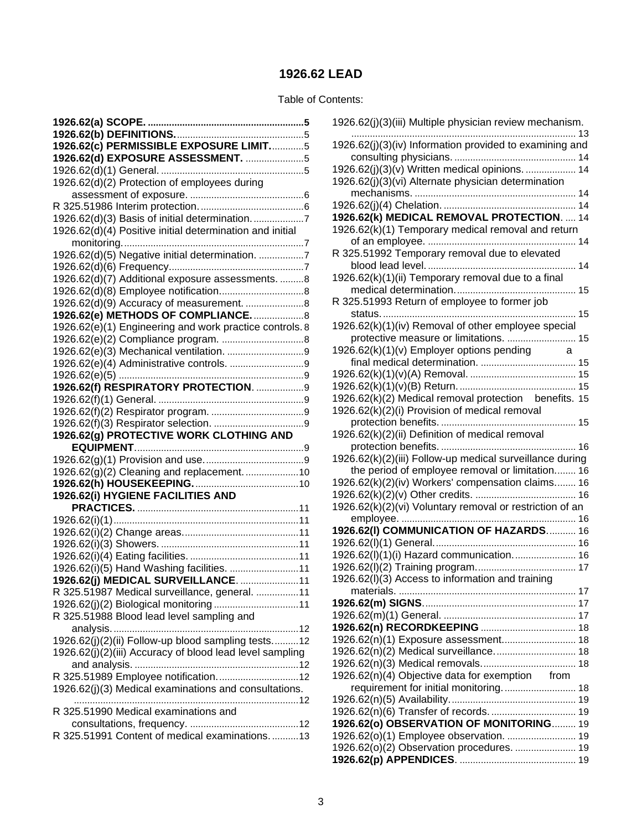# **[1926.62](https://www.osha.gov/pls/oshaweb/owalink.query_links?src_doc_type=STANDARDS&src_unique_file=1926_0062&src_anchor_name=1926.62) LEAD**

# Table of Contents:

| 1926.62(c) PERMISSIBLE EXPOSURE LIMIT5                   |  |
|----------------------------------------------------------|--|
| 1926.62(d) EXPOSURE ASSESSMENT. 5                        |  |
|                                                          |  |
| 1926.62(d)(2) Protection of employees during             |  |
|                                                          |  |
|                                                          |  |
| 1926.62(d)(3) Basis of initial determination             |  |
| 1926.62(d)(4) Positive initial determination and initial |  |
|                                                          |  |
| 1926.62(d)(5) Negative initial determination. 7          |  |
|                                                          |  |
| 1926.62(d)(7) Additional exposure assessments. 8         |  |
|                                                          |  |
|                                                          |  |
| 1926.62(e) METHODS OF COMPLIANCE.  8                     |  |
| 1926.62(e)(1) Engineering and work practice controls. 8  |  |
|                                                          |  |
|                                                          |  |
|                                                          |  |
|                                                          |  |
| 1926.62(f) RESPIRATORY PROTECTION. 9                     |  |
|                                                          |  |
|                                                          |  |
|                                                          |  |
|                                                          |  |
| 1926.62(g) PROTECTIVE WORK CLOTHING AND                  |  |
|                                                          |  |
|                                                          |  |
| 1926.62(g)(2) Cleaning and replacement.  10              |  |
|                                                          |  |
| <b>1926.62(i) HYGIENE FACILITIES AND</b>                 |  |
|                                                          |  |
|                                                          |  |
|                                                          |  |
|                                                          |  |
|                                                          |  |
| 1926.62(i)(5) Hand Washing facilities.  11               |  |
| 1926.62(j) MEDICAL SURVEILLANCE.  11                     |  |
| R 325.51987 Medical surveillance, general. 11            |  |
| R 325.51988 Blood lead level sampling and                |  |
|                                                          |  |
| 1926.62(j)(2)(ii) Follow-up blood sampling tests12       |  |
| 1926.62(j)(2)(iii) Accuracy of blood lead level sampling |  |
|                                                          |  |
|                                                          |  |
| 1926.62(j)(3) Medical examinations and consultations.    |  |
|                                                          |  |
| R 325.51990 Medical examinations and                     |  |
| R 325.51991 Content of medical examinations.  13         |  |

| 1926.62(j)(3)(iii) Multiple physician review mechanism.                       |  |
|-------------------------------------------------------------------------------|--|
|                                                                               |  |
| 1926.62(j)(3)(iv) Information provided to examining and                       |  |
| 1926.62(j)(3)(v) Written medical opinions.  14                                |  |
| 1926.62(j)(3)(vi) Alternate physician determination                           |  |
|                                                                               |  |
|                                                                               |  |
| 1926.62(k) MEDICAL REMOVAL PROTECTION.  14                                    |  |
| 1926.62(k)(1) Temporary medical removal and return                            |  |
|                                                                               |  |
| R 325.51992 Temporary removal due to elevated                                 |  |
|                                                                               |  |
| 1926.62(k)(1)(ii) Temporary removal due to a final                            |  |
|                                                                               |  |
| R 325.51993 Return of employee to former job                                  |  |
|                                                                               |  |
| 1926.62(k)(1)(iv) Removal of other employee special                           |  |
| protective measure or limitations.  15                                        |  |
| 1926.62(k)(1)(v) Employer options pending<br>a                                |  |
|                                                                               |  |
|                                                                               |  |
|                                                                               |  |
| 1926.62(k)(2) Medical removal protection benefits. 15                         |  |
| 1926.62(k)(2)(i) Provision of medical removal                                 |  |
|                                                                               |  |
| 1926.62(k)(2)(ii) Definition of medical removal                               |  |
|                                                                               |  |
| 1926.62(k)(2)(iii) Follow-up medical surveillance during                      |  |
| the period of employee removal or limitation 16                               |  |
| 1926.62(k)(2)(iv) Workers' compensation claims 16                             |  |
|                                                                               |  |
| 1926.62(k)(2)(vi) Voluntary removal or restriction of an                      |  |
|                                                                               |  |
| 1926.62(I) COMMUNICATION OF HAZARDS 16                                        |  |
|                                                                               |  |
| 1926.62(I)(1)(i) Hazard communication 16                                      |  |
|                                                                               |  |
| 1926.62(I)(3) Access to information and training                              |  |
|                                                                               |  |
|                                                                               |  |
|                                                                               |  |
|                                                                               |  |
| 1926.62(n)(1) Exposure assessment 18<br>1926.62(n)(2) Medical surveillance 18 |  |
|                                                                               |  |
| 1926.62(n)(4) Objective data for exemption from                               |  |
|                                                                               |  |
|                                                                               |  |
| 1926.62(n)(6) Transfer of records.  19                                        |  |
| 1926.62(o) OBSERVATION OF MONITORING 19                                       |  |
| 1926.62(o)(1) Employee observation.  19                                       |  |
| 1926.62(o)(2) Observation procedures.  19                                     |  |
|                                                                               |  |
|                                                                               |  |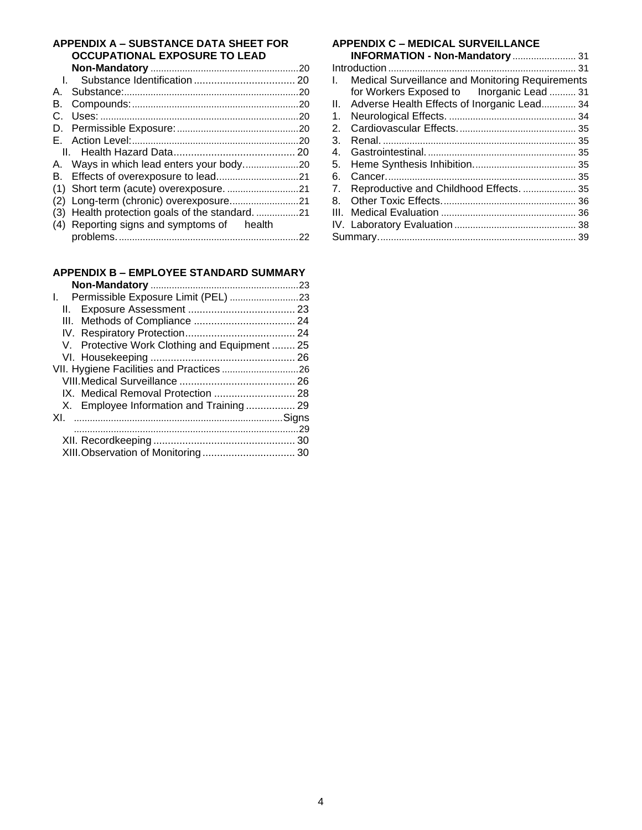# **[APPENDIX A –](#page-19-0) [SUBSTANCE DATA SHEET FOR](#page-19-1)  [OCCUPATIONAL EXPOSURE TO LEAD](#page-19-1)**

| A. |                                            |  |
|----|--------------------------------------------|--|
|    |                                            |  |
|    |                                            |  |
|    |                                            |  |
|    |                                            |  |
|    |                                            |  |
|    |                                            |  |
|    |                                            |  |
|    |                                            |  |
|    |                                            |  |
|    |                                            |  |
|    | (4) Reporting signs and symptoms of health |  |
|    |                                            |  |
|    |                                            |  |

# **[APPENDIX B –](#page-22-0) [EMPLOYEE STANDARD SUMMARY](#page-22-1)**

| V. Protective Work Clothing and Equipment  25 |  |
|-----------------------------------------------|--|
|                                               |  |
|                                               |  |
|                                               |  |
| IX. Medical Removal Protection  28            |  |
| X. Employee Information and Training 29       |  |
|                                               |  |
|                                               |  |
|                                               |  |
|                                               |  |

# **[APPENDIX C –](#page-30-0) [MEDICAL SURVEILLANCE](#page-30-1)**

|                | INFORMATION - Non-Mandatory  31                  |  |
|----------------|--------------------------------------------------|--|
|                |                                                  |  |
| L.             | Medical Surveillance and Monitoring Requirements |  |
|                | for Workers Exposed to    Inorganic Lead  31     |  |
| II.            | Adverse Health Effects of Inorganic Lead 34      |  |
| $\mathbf{1}$ . |                                                  |  |
| 2.             |                                                  |  |
| 3.             |                                                  |  |
| 4.             |                                                  |  |
| 5.             |                                                  |  |
| 6.             |                                                  |  |
| 7 <sub>1</sub> | Reproductive and Childhood Effects.  35          |  |
| 8.             |                                                  |  |
| III.           |                                                  |  |
|                |                                                  |  |
|                |                                                  |  |
|                |                                                  |  |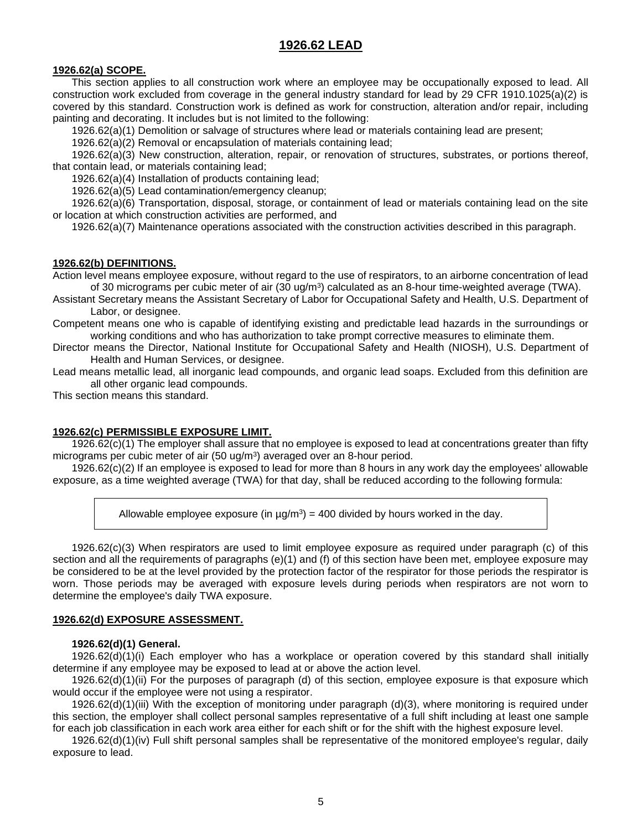# **1926.62 LEAD**

# <span id="page-4-1"></span><span id="page-4-0"></span>**1926.62(a) SCOPE.**

This section applies to all construction work where an employee may be occupationally exposed to lead. All construction work excluded from coverage in the general industry standard for lead by 29 CFR 1910.1025(a)(2) is covered by this standard. Construction work is defined as work for construction, alteration and/or repair, including painting and decorating. It includes but is not limited to the following:

1926.62(a)(1) Demolition or salvage of structures where lead or materials containing lead are present;

1926.62(a)(2) Removal or encapsulation of materials containing lead;

1926.62(a)(3) New construction, alteration, repair, or renovation of structures, substrates, or portions thereof, that contain lead, or materials containing lead;

1926.62(a)(4) Installation of products containing lead;

1926.62(a)(5) Lead contamination/emergency cleanup;

1926.62(a)(6) Transportation, disposal, storage, or containment of lead or materials containing lead on the site or location at which construction activities are performed, and

1926.62(a)(7) Maintenance operations associated with the construction activities described in this paragraph.

#### <span id="page-4-2"></span>**1926.62(b) DEFINITIONS.**

Action level means employee exposure, without regard to the use of respirators, to an airborne concentration of lead of 30 micrograms per cubic meter of air (30 ug/m<sup>3</sup>) calculated as an 8-hour time-weighted average (TWA).

- Assistant Secretary means the Assistant Secretary of Labor for Occupational Safety and Health, U.S. Department of Labor, or designee.
- Competent means one who is capable of identifying existing and predictable lead hazards in the surroundings or working conditions and who has authorization to take prompt corrective measures to eliminate them.
- Director means the Director, National Institute for Occupational Safety and Health (NIOSH), U.S. Department of Health and Human Services, or designee.
- Lead means metallic lead, all inorganic lead compounds, and organic lead soaps. Excluded from this definition are all other organic lead compounds.

This section means this standard.

### <span id="page-4-3"></span>**1926.62(c) PERMISSIBLE EXPOSURE LIMIT.**

1926.62(c)(1) The employer shall assure that no employee is exposed to lead at concentrations greater than fifty micrograms per cubic meter of air  $(50 \text{ ug/m}^3)$  averaged over an 8-hour period.

1926.62(c)(2) If an employee is exposed to lead for more than 8 hours in any work day the employees' allowable exposure, as a time weighted average (TWA) for that day, shall be reduced according to the following formula:

Allowable employee exposure (in  $\mu$ g/m<sup>3</sup>) = 400 divided by hours worked in the day.

1926.62(c)(3) When respirators are used to limit employee exposure as required under paragraph (c) of this section and all the requirements of paragraphs (e)(1) and (f) of this section have been met, employee exposure may be considered to be at the level provided by the protection factor of the respirator for those periods the respirator is worn. Those periods may be averaged with exposure levels during periods when respirators are not worn to determine the employee's daily TWA exposure.

### <span id="page-4-4"></span>**[1926.62\(d\)](https://www.osha.gov/pls/oshaweb/owalink.query_links?src_doc_type=STANDARDS&src_unique_file=1926_0062&src_anchor_name=1926.62(d)) EXPOSURE ASSESSMENT.**

### **1926.62(d)(1) General.**

<span id="page-4-5"></span>1926.62(d)(1)(i) Each employer who has a workplace or operation covered by this standard shall initially determine if any employee may be exposed to lead at or above the action level.

1926.62(d)(1)(ii) For the purposes of paragraph (d) of this section, employee exposure is that exposure which would occur if the employee were not using a respirator.

1926.62(d)(1)(iii) With the exception of monitoring under paragraph (d)(3), where monitoring is required under this section, the employer shall collect personal samples representative of a full shift including at least one sample for each job classification in each work area either for each shift or for the shift with the highest exposure level.

1926.62(d)(1)(iv) Full shift personal samples shall be representative of the monitored employee's regular, daily exposure to lead.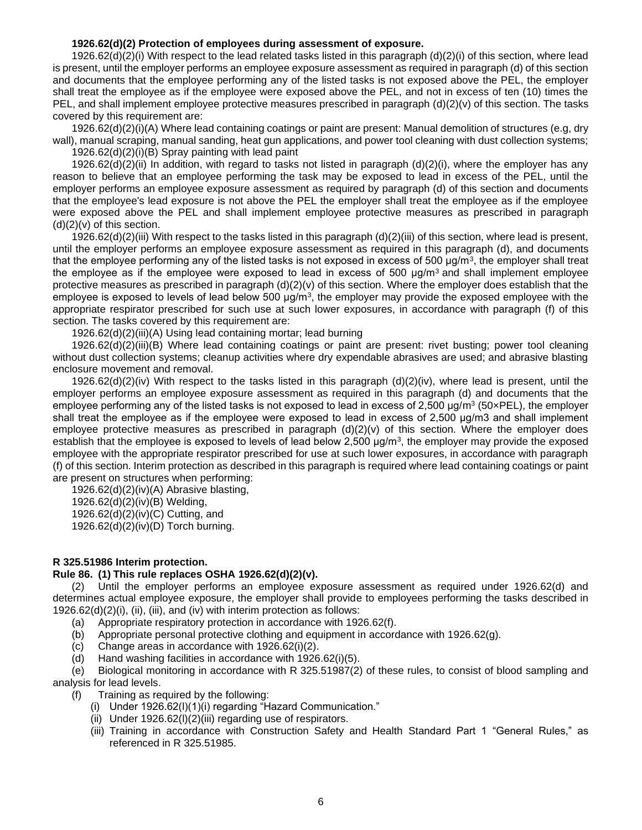#### <span id="page-5-1"></span>**[1926.62\(d\)\(2\)](https://www.osha.gov/pls/oshaweb/owalink.query_links?src_doc_type=STANDARDS&src_unique_file=1926_0062&src_anchor_name=1926.62(d)(2)) Protection of employees during assessment of exposure.**

1926.62(d)(2)(i) With respect to the lead related tasks listed in this paragraph (d)(2)(i) of this section, where lead is present, until the employer performs an employee exposure assessment as required in paragraph (d) of this section and documents that the employee performing any of the listed tasks is not exposed above the PEL, the employer shall treat the employee as if the employee were exposed above the PEL, and not in excess of ten (10) times the PEL, and shall implement employee protective measures prescribed in paragraph (d)(2)(v) of this section. The tasks covered by this requirement are:

[1926.62\(d\)\(2\)\(i\)\(A\)](https://www.osha.gov/pls/oshaweb/owalink.query_links?src_doc_type=STANDARDS&src_unique_file=1926_0062&src_anchor_name=1926.62(d)(2)(i)(A)) Where lead containing coatings or paint are present: Manual demolition of structures (e.g, dry wall), manual scraping, manual sanding, heat gun applications, and power tool cleaning with dust collection systems;

1926.62(d)(2)(i)(B) Spray painting with lead paint

1926.62(d)(2)(ii) In addition, with regard to tasks not listed in paragraph (d)(2)(i), where the employer has any reason to believe that an employee performing the task may be exposed to lead in excess of the PEL, until the employer performs an employee exposure assessment as required by paragraph (d) of this section and documents that the employee's lead exposure is not above the PEL the employer shall treat the employee as if the employee were exposed above the PEL and shall implement employee protective measures as prescribed in paragraph  $(d)(2)(v)$  of this section.

1926.62(d)(2)(iii) With respect to the tasks listed in this paragraph (d)(2)(iii) of this section, where lead is present, until the employer performs an employee exposure assessment as required in this paragraph (d), and documents that the employee performing any of the listed tasks is not exposed in excess of 500  $\mu$ g/m $^3$ , the employer shall treat the employee as if the employee were exposed to lead in excess of 500  $\mu$ g/m<sup>3</sup> and shall implement employee protective measures as prescribed in paragraph  $(d)(2)(v)$  of this section. Where the employer does establish that the employee is exposed to levels of lead below 500 µg/m<sup>3</sup>, the employer may provide the exposed employee with the appropriate respirator prescribed for such use at such lower exposures, in accordance with paragraph (f) of this section. The tasks covered by this requirement are:

1926.62(d)(2)(iii)(A) Using lead containing mortar; lead burning

1926.62(d)(2)(iii)(B) Where lead containing coatings or paint are present: rivet busting; power tool cleaning without dust collection systems; cleanup activities where dry expendable abrasives are used; and abrasive blasting enclosure movement and removal.

1926.62(d)(2)(iv) With respect to the tasks listed in this paragraph (d)(2)(iv), where lead is present, until the employer performs an employee exposure assessment as required in this paragraph (d) and documents that the employee performing any of the listed tasks is not exposed to lead in excess of 2,500 μg/m<sup>3</sup> (50×PEL), the employer shall treat the employee as if the employee were exposed to lead in excess of 2,500 μg/m3 and shall implement employee protective measures as prescribed in paragraph  $(d)(2)(v)$  of this section. Where the employer does establish that the employee is exposed to levels of lead below 2,500  $\mu$ g/m<sup>3</sup>, the employer may provide the exposed employee with the appropriate respirator prescribed for use at such lower exposures, in accordance with paragraph (f) of this section. Interim protection as described in this paragraph is required where lead containing coatings or paint are present on structures when performing:

1926.62(d)(2)(iv)(A) Abrasive blasting,

1926.62(d)(2)(iv)(B) Welding,

1926.62(d)(2)(iv)(C) Cutting, and

1926.62(d)(2)(iv)(D) Torch burning.

### <span id="page-5-0"></span>**R 325.51986 Interim protection.**

### **Rule 86. (1) This rule replaces OSHA 1926.62(d)(2)(v).**

(2) Until the employer performs an employee exposure assessment as required under 1926.62(d) and determines actual employee exposure, the employer shall provide to employees performing the tasks described in 1926.62(d)(2)(i), (ii), (iii), and (iv) with interim protection as follows:

- (a) Appropriate respiratory protection in accordance with 1926.62(f).
- (b) Appropriate personal protective clothing and equipment in accordance with 1926.62(g).
- (c) Change areas in accordance with 1926.62(i)(2).
- (d) Hand washing facilities in accordance with 1926.62(i)(5).

(e) Biological monitoring in accordance with R 325.51987(2) of these rules, to consist of blood sampling and analysis for lead levels.

- (f) Training as required by the following:
	- (i) Under 1926.62(l)(1)(i) regarding "Hazard Communication."
	- (ii) Under 1926.62(l)(2)(iii) regarding use of respirators.
	- (iii) Training in accordance with Construction Safety and Health Standard Part 1 "General Rules," as referenced in R 325.51985.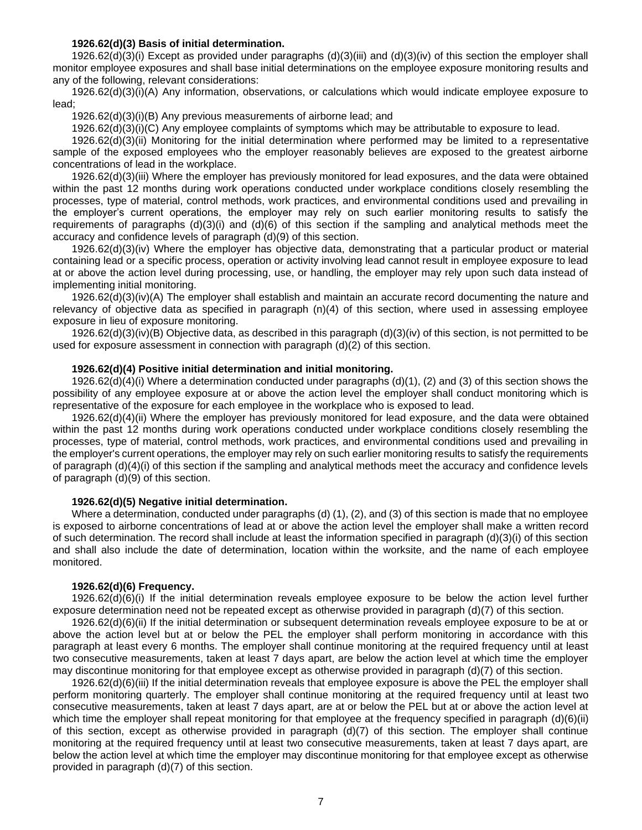#### **1926.62(d)(3) Basis of initial determination.**

<span id="page-6-0"></span>1926.62(d)(3)(i) Except as provided under paragraphs (d)(3)(iii) and (d)(3)(iv) of this section the employer shall monitor employee exposures and shall base initial determinations on the employee exposure monitoring results and any of the following, relevant considerations:

1926.62(d)(3)(i)(A) Any information, observations, or calculations which would indicate employee exposure to lead;

1926.62(d)(3)(i)(B) Any previous measurements of airborne lead; and

1926.62(d)(3)(i)(C) Any employee complaints of symptoms which may be attributable to exposure to lead.

1926.62(d)(3)(ii) Monitoring for the initial determination where performed may be limited to a representative sample of the exposed employees who the employer reasonably believes are exposed to the greatest airborne concentrations of lead in the workplace.

[1926.62\(d\)\(3\)\(iii\)](https://www.osha.gov/pls/oshaweb/owalink.query_links?src_doc_type=STANDARDS&src_unique_file=1926_0062&src_anchor_name=1926.62(d)(3)(iii)) Where the employer has previously monitored for lead exposures, and the data were obtained within the past 12 months during work operations conducted under workplace conditions closely resembling the processes, type of material, control methods, work practices, and environmental conditions used and prevailing in the employer's current operations, the employer may rely on such earlier monitoring results to satisfy the requirements of paragraphs (d)(3)(i) and (d)(6) of this section if the sampling and analytical methods meet the accuracy and confidence levels of paragraph (d)(9) of this section.

1926.62(d)(3)(iv) Where the employer has objective data, demonstrating that a particular product or material containing lead or a specific process, operation or activity involving lead cannot result in employee exposure to lead at or above the action level during processing, use, or handling, the employer may rely upon such data instead of implementing initial monitoring.

[1926.62\(d\)\(3\)\(iv\)\(A\)](https://www.osha.gov/pls/oshaweb/owalink.query_links?src_doc_type=STANDARDS&src_unique_file=1926_0062&src_anchor_name=1926.62(d)(3)(iv)(A)) The employer shall establish and maintain an accurate record documenting the nature and relevancy of objective data as specified in paragraph (n)(4) of this section, where used in assessing employee exposure in lieu of exposure monitoring.

[1926.62\(d\)\(3\)\(iv\)\(B\)](https://www.osha.gov/pls/oshaweb/owalink.query_links?src_doc_type=STANDARDS&src_unique_file=1926_0062&src_anchor_name=1926.62(d)(3)(iv)(B)) Objective data, as described in this paragraph (d)(3)(iv) of this section, is not permitted to be used for exposure assessment in connection with paragraph (d)(2) of this section.

#### **1926.62(d)(4) Positive initial determination and initial monitoring.**

<span id="page-6-1"></span>1926.62(d)(4)(i) Where a determination conducted under paragraphs (d)(1), (2) and (3) of this section shows the possibility of any employee exposure at or above the action level the employer shall conduct monitoring which is representative of the exposure for each employee in the workplace who is exposed to lead.

1926.62(d)(4)(ii) Where the employer has previously monitored for lead exposure, and the data were obtained within the past 12 months during work operations conducted under workplace conditions closely resembling the processes, type of material, control methods, work practices, and environmental conditions used and prevailing in the employer's current operations, the employer may rely on such earlier monitoring results to satisfy the requirements of paragraph (d)(4)(i) of this section if the sampling and analytical methods meet the accuracy and confidence levels of paragraph (d)(9) of this section.

#### **1926.62(d)(5) Negative initial determination.**

<span id="page-6-2"></span>Where a determination, conducted under paragraphs (d) (1), (2), and (3) of this section is made that no employee is exposed to airborne concentrations of lead at or above the action level the employer shall make a written record of such determination. The record shall include at least the information specified in paragraph (d)(3)(i) of this section and shall also include the date of determination, location within the worksite, and the name of each employee monitored.

#### **1926.62(d)(6) Frequency.**

<span id="page-6-3"></span>1926.62(d)(6)(i) If the initial determination reveals employee exposure to be below the action level further exposure determination need not be repeated except as otherwise provided in paragraph (d)(7) of this section.

1926.62(d)(6)(ii) If the initial determination or subsequent determination reveals employee exposure to be at or above the action level but at or below the PEL the employer shall perform monitoring in accordance with this paragraph at least every 6 months. The employer shall continue monitoring at the required frequency until at least two consecutive measurements, taken at least 7 days apart, are below the action level at which time the employer may discontinue monitoring for that employee except as otherwise provided in paragraph (d)(7) of this section.

1926.62(d)(6)(iii) If the initial determination reveals that employee exposure is above the PEL the employer shall perform monitoring quarterly. The employer shall continue monitoring at the required frequency until at least two consecutive measurements, taken at least 7 days apart, are at or below the PEL but at or above the action level at which time the employer shall repeat monitoring for that employee at the frequency specified in paragraph (d)(6)(ii) of this section, except as otherwise provided in paragraph (d)(7) of this section. The employer shall continue monitoring at the required frequency until at least two consecutive measurements, taken at least 7 days apart, are below the action level at which time the employer may discontinue monitoring for that employee except as otherwise provided in paragraph (d)(7) of this section.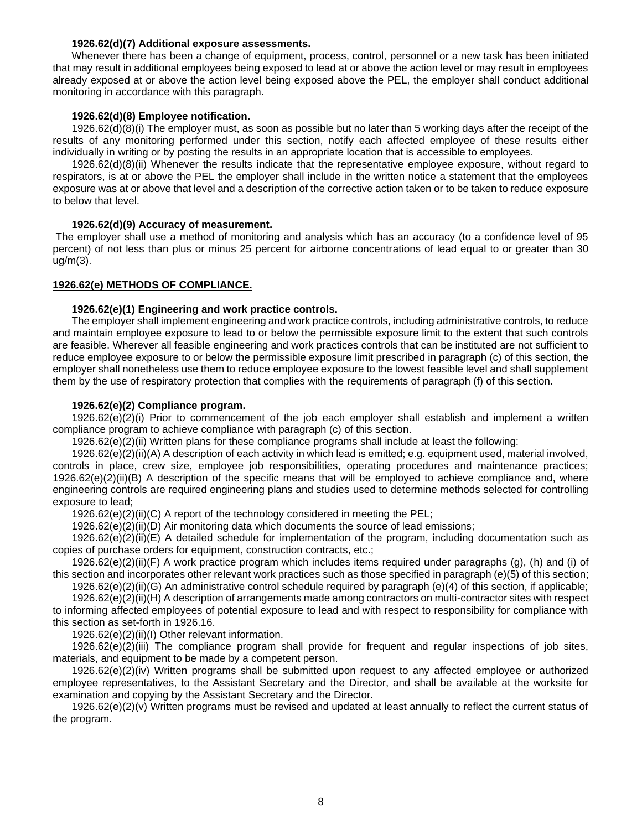#### **1926.62(d)(7) Additional exposure assessments.**

<span id="page-7-1"></span>Whenever there has been a change of equipment, process, control, personnel or a new task has been initiated that may result in additional employees being exposed to lead at or above the action level or may result in employees already exposed at or above the action level being exposed above the PEL, the employer shall conduct additional monitoring in accordance with this paragraph.

# **1926.62(d)(8) Employee notification.**

<span id="page-7-2"></span>1926.62(d)(8)(i) The employer must, as soon as possible but no later than 5 working days after the receipt of the results of any monitoring performed under this section, notify each affected employee of these results either individually in writing or by posting the results in an appropriate location that is accessible to employees.

1926.62(d)(8)(ii) Whenever the results indicate that the representative employee exposure, without regard to respirators, is at or above the PEL the employer shall include in the written notice a statement that the employees exposure was at or above that level and a description of the corrective action taken or to be taken to reduce exposure to below that level.

#### **1926.62(d)(9) Accuracy of measurement.**

<span id="page-7-3"></span>The employer shall use a method of monitoring and analysis which has an accuracy (to a confidence level of 95 percent) of not less than plus or minus 25 percent for airborne concentrations of lead equal to or greater than 30 ug/m(3).

#### <span id="page-7-0"></span>**1926.62(e) METHODS OF COMPLIANCE.**

### **1926.62(e)(1) Engineering and work practice controls.**

<span id="page-7-4"></span>The employer shall implement engineering and work practice controls, including administrative controls, to reduce and maintain employee exposure to lead to or below the permissible exposure limit to the extent that such controls are feasible. Wherever all feasible engineering and work practices controls that can be instituted are not sufficient to reduce employee exposure to or below the permissible exposure limit prescribed in paragraph (c) of this section, the employer shall nonetheless use them to reduce employee exposure to the lowest feasible level and shall supplement them by the use of respiratory protection that complies with the requirements of paragraph (f) of this section.

#### **1926.62(e)(2) Compliance program.**

<span id="page-7-5"></span>1926.62(e)(2)(i) Prior to commencement of the job each employer shall establish and implement a written compliance program to achieve compliance with paragraph (c) of this section.

1926.62(e)(2)(ii) Written plans for these compliance programs shall include at least the following:

1926.62(e)(2)(ii)(A) A description of each activity in which lead is emitted; e.g. equipment used, material involved, controls in place, crew size, employee job responsibilities, operating procedures and maintenance practices; 1926.62(e)(2)(ii)(B) A description of the specific means that will be employed to achieve compliance and, where engineering controls are required engineering plans and studies used to determine methods selected for controlling exposure to lead;

1926.62(e)(2)(ii)(C) A report of the technology considered in meeting the PEL;

1926.62(e)(2)(ii)(D) Air monitoring data which documents the source of lead emissions;

1926.62(e)(2)(ii)(E) A detailed schedule for implementation of the program, including documentation such as copies of purchase orders for equipment, construction contracts, etc.;

1926.62(e)(2)(ii)(F) A work practice program which includes items required under paragraphs (g), (h) and (i) of this section and incorporates other relevant work practices such as those specified in paragraph (e)(5) of this section;

1926.62(e)(2)(ii)(G) An administrative control schedule required by paragraph (e)(4) of this section, if applicable; 1926.62(e)(2)(ii)(H) A description of arrangements made among contractors on multi-contractor sites with respect

to informing affected employees of potential exposure to lead and with respect to responsibility for compliance with this section as set-forth in 1926.16.

1926.62(e)(2)(ii)(I) Other relevant information.

1926.62(e)(2)(iii) The compliance program shall provide for frequent and regular inspections of job sites, materials, and equipment to be made by a competent person.

1926.62(e)(2)(iv) Written programs shall be submitted upon request to any affected employee or authorized employee representatives, to the Assistant Secretary and the Director, and shall be available at the worksite for examination and copying by the Assistant Secretary and the Director.

1926.62(e)(2)(v) Written programs must be revised and updated at least annually to reflect the current status of the program.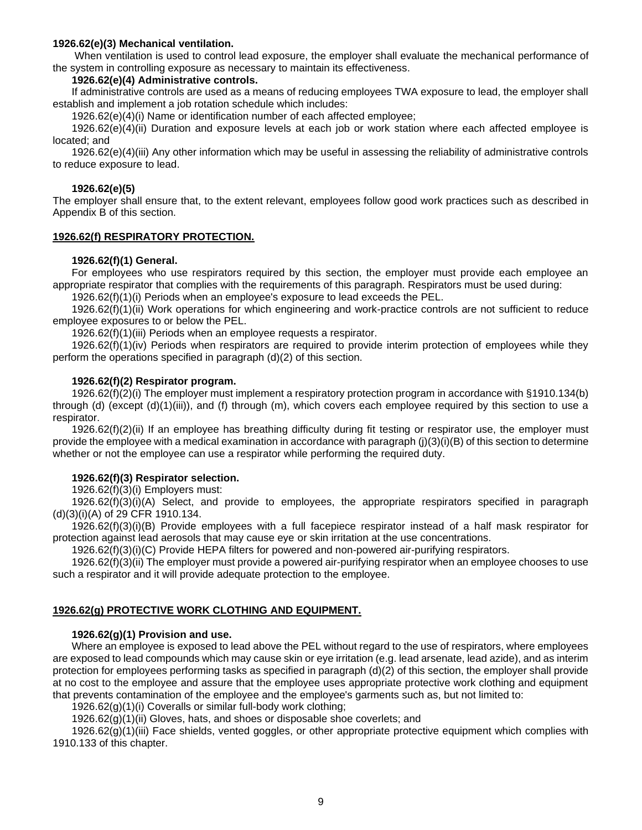### <span id="page-8-2"></span>**1926.62(e)(3) Mechanical ventilation.**

<span id="page-8-3"></span>When ventilation is used to control lead exposure, the employer shall evaluate the mechanical performance of the system in controlling exposure as necessary to maintain its effectiveness.

### **1926.62(e)(4) Administrative controls.**

If administrative controls are used as a means of reducing employees TWA exposure to lead, the employer shall establish and implement a job rotation schedule which includes:

1926.62(e)(4)(i) Name or identification number of each affected employee;

1926.62(e)(4)(ii) Duration and exposure levels at each job or work station where each affected employee is located; and

1926.62(e)(4)(iii) Any other information which may be useful in assessing the reliability of administrative controls to reduce exposure to lead.

### **1926.62(e)(5)**

<span id="page-8-4"></span>The employer shall ensure that, to the extent relevant, employees follow good work practices such as described in Appendix B of this section.

#### <span id="page-8-0"></span>**[1926.62\(f\)](https://www.osha.gov/pls/oshaweb/owalink.query_links?src_doc_type=STANDARDS&src_unique_file=1926_0062&src_anchor_name=1926.62(f)) RESPIRATORY PROTECTION.**

### **1926.62(f)(1) General.**

<span id="page-8-5"></span>For employees who use respirators required by this section, the employer must provide each employee an appropriate respirator that complies with the requirements of this paragraph. Respirators must be used during:

1926.62(f)(1)(i) Periods when an employee's exposure to lead exceeds the PEL.

1926.62(f)(1)(ii) Work operations for which engineering and work-practice controls are not sufficient to reduce employee exposures to or below the PEL.

1926.62(f)(1)(iii) Periods when an employee requests a respirator.

1926.62(f)(1)(iv) Periods when respirators are required to provide interim protection of employees while they perform the operations specified in paragraph (d)(2) of this section.

#### **1926.62(f)(2) Respirator program.**

<span id="page-8-6"></span>1926.62(f)(2)(i) The employer must implement a respiratory protection program in accordance with §1910.134(b) through (d) (except (d)(1)(iii)), and (f) through (m), which covers each employee required by this section to use a respirator.

1926.62(f)(2)(ii) If an employee has breathing difficulty during fit testing or respirator use, the employer must provide the employee with a medical examination in accordance with paragraph  $(j)(3)(i)(B)$  of this section to determine whether or not the employee can use a respirator while performing the required duty.

### <span id="page-8-7"></span>**1926.62(f)(3) Respirator selection.**

1926.62(f)(3)(i) Employers must:

1926.62(f)(3)(i)(A) Select, and provide to employees, the appropriate respirators specified in paragraph (d)(3)(i)(A) of 29 CFR 1910.134.

1926.62(f)(3)(i)(B) Provide employees with a full facepiece respirator instead of a half mask respirator for protection against lead aerosols that may cause eye or skin irritation at the use concentrations.

1926.62(f)(3)(i)(C) Provide HEPA filters for powered and non-powered air-purifying respirators.

1926.62(f)(3)(ii) The employer must provide a powered air-purifying respirator when an employee chooses to use such a respirator and it will provide adequate protection to the employee.

### <span id="page-8-1"></span>**1926.62(g) PROTECTIVE WORK CLOTHING AND EQUIPMENT.**

### **1926.62(g)(1) Provision and use.**

<span id="page-8-8"></span>Where an employee is exposed to lead above the PEL without regard to the use of respirators, where employees are exposed to lead compounds which may cause skin or eye irritation (e.g. lead arsenate, lead azide), and as interim protection for employees performing tasks as specified in paragraph (d)(2) of this section, the employer shall provide at no cost to the employee and assure that the employee uses appropriate protective work clothing and equipment that prevents contamination of the employee and the employee's garments such as, but not limited to:

1926.62(g)(1)(i) Coveralls or similar full-body work clothing;

1926.62(g)(1)(ii) Gloves, hats, and shoes or disposable shoe coverlets; and

1926.62(g)(1)(iii) Face shields, vented goggles, or other appropriate protective equipment which complies with 1910.133 of this chapter.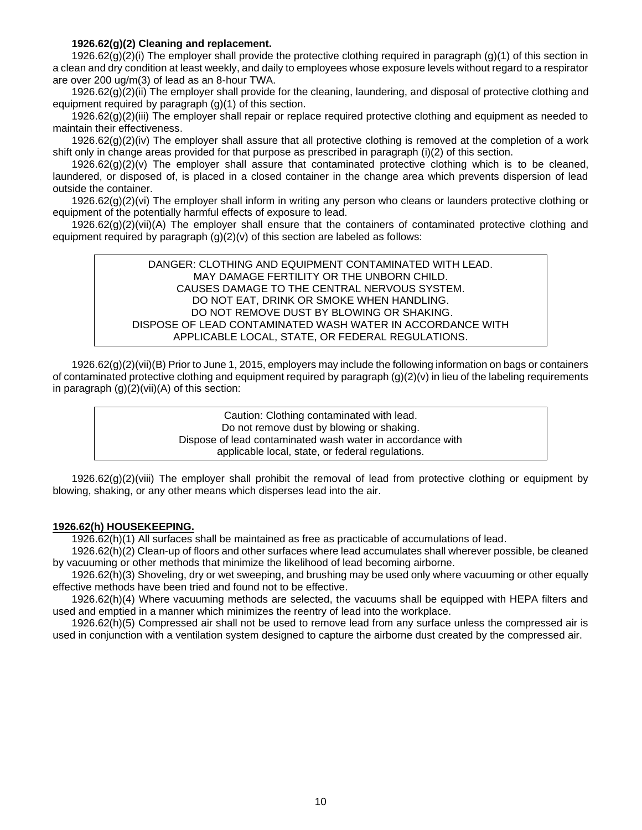### **1926.62(g)(2) Cleaning and replacement.**

<span id="page-9-1"></span>1926.62(g)(2)(i) The employer shall provide the protective clothing required in paragraph (g)(1) of this section in a clean and dry condition at least weekly, and daily to employees whose exposure levels without regard to a respirator are over 200 ug/m(3) of lead as an 8-hour TWA.

1926.62(g)(2)(ii) The employer shall provide for the cleaning, laundering, and disposal of protective clothing and equipment required by paragraph (g)(1) of this section.

1926.62(g)(2)(iii) The employer shall repair or replace required protective clothing and equipment as needed to maintain their effectiveness.

1926.62(g)(2)(iv) The employer shall assure that all protective clothing is removed at the completion of a work shift only in change areas provided for that purpose as prescribed in paragraph (i)(2) of this section.

 $1926.62(q)(2)(v)$  The employer shall assure that contaminated protective clothing which is to be cleaned, laundered, or disposed of, is placed in a closed container in the change area which prevents dispersion of lead outside the container.

1926.62(g)(2)(vi) The employer shall inform in writing any person who cleans or launders protective clothing or equipment of the potentially harmful effects of exposure to lead.

1926.62(g)(2)(vii)(A) The employer shall ensure that the containers of contaminated protective clothing and equipment required by paragraph  $(g)(2)(v)$  of this section are labeled as follows:

> DANGER: CLOTHING AND EQUIPMENT CONTAMINATED WITH LEAD. MAY DAMAGE FERTILITY OR THE UNBORN CHILD. CAUSES DAMAGE TO THE CENTRAL NERVOUS SYSTEM. DO NOT EAT, DRINK OR SMOKE WHEN HANDLING. DO NOT REMOVE DUST BY BLOWING OR SHAKING. DISPOSE OF LEAD CONTAMINATED WASH WATER IN ACCORDANCE WITH APPLICABLE LOCAL, STATE, OR FEDERAL REGULATIONS.

1926.62(g)(2)(vii)(B) Prior to June 1, 2015, employers may include the following information on bags or containers of contaminated protective clothing and equipment required by paragraph  $(q)(2)(v)$  in lieu of the labeling requirements in paragraph (g)(2)(vii)(A) of this section:

> Caution: Clothing contaminated with lead. Do not remove dust by blowing or shaking. Dispose of lead contaminated wash water in accordance with applicable local, state, or federal regulations.

1926.62(g)(2)(viii) The employer shall prohibit the removal of lead from protective clothing or equipment by blowing, shaking, or any other means which disperses lead into the air.

### <span id="page-9-0"></span>**1926.62(h) HOUSEKEEPING.**

[1926.62\(h\)\(1\)](https://www.osha.gov/pls/oshaweb/owalink.query_links?src_doc_type=STANDARDS&src_unique_file=1926_0062&src_anchor_name=1926.62(h)(1)) All surfaces shall be maintained as free as practicable of accumulations of lead.

1926.62(h)(2) Clean-up of floors and other surfaces where lead accumulates shall wherever possible, be cleaned by vacuuming or other methods that minimize the likelihood of lead becoming airborne.

1926.62(h)(3) Shoveling, dry or wet sweeping, and brushing may be used only where vacuuming or other equally effective methods have been tried and found not to be effective.

1926.62(h)(4) Where vacuuming methods are selected, the vacuums shall be equipped with HEPA filters and used and emptied in a manner which minimizes the reentry of lead into the workplace.

1926.62(h)(5) Compressed air shall not be used to remove lead from any surface unless the compressed air is used in conjunction with a ventilation system designed to capture the airborne dust created by the compressed air.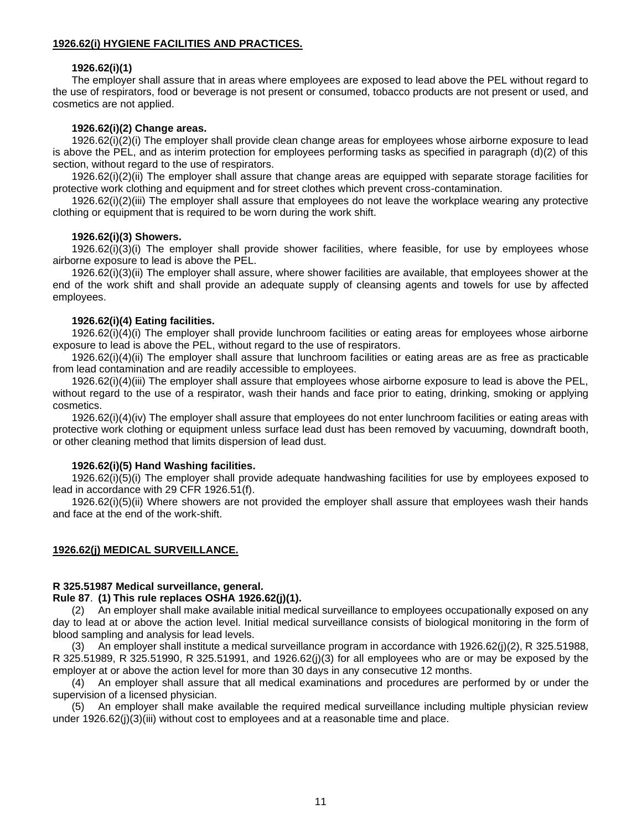# <span id="page-10-1"></span>**1926.62(i) HYGIENE FACILITIES AND PRACTICES.**

# **1926.62(i)(1)**

<span id="page-10-3"></span>The employer shall assure that in areas where employees are exposed to lead above the PEL without regard to the use of respirators, food or beverage is not present or consumed, tobacco products are not present or used, and cosmetics are not applied.

### **1926.62(i)(2) Change areas.**

<span id="page-10-4"></span>[1926.62\(i\)\(2\)\(i\)](https://www.osha.gov/pls/oshaweb/owalink.query_links?src_doc_type=STANDARDS&src_unique_file=1926_0062&src_anchor_name=1926.62(i)(2)(i)) The employer shall provide clean change areas for employees whose airborne exposure to lead is above the PEL, and as interim protection for employees performing tasks as specified in paragraph (d)(2) of this section, without regard to the use of respirators.

1926.62(i)(2)(ii) The employer shall assure that change areas are equipped with separate storage facilities for protective work clothing and equipment and for street clothes which prevent cross-contamination.

1926.62(i)(2)(iii) The employer shall assure that employees do not leave the workplace wearing any protective clothing or equipment that is required to be worn during the work shift.

### **1926.62(i)(3) Showers.**

<span id="page-10-5"></span>1926.62(i)(3)(i) The employer shall provide shower facilities, where feasible, for use by employees whose airborne exposure to lead is above the PEL.

1926.62(i)(3)(ii) The employer shall assure, where shower facilities are available, that employees shower at the end of the work shift and shall provide an adequate supply of cleansing agents and towels for use by affected employees.

# **1926.62(i)(4) Eating facilities.**

<span id="page-10-6"></span>1926.62(i)(4)(i) The employer shall provide lunchroom facilities or eating areas for employees whose airborne exposure to lead is above the PEL, without regard to the use of respirators.

[1926.62\(i\)\(4\)\(ii\)](https://www.osha.gov/pls/oshaweb/owalink.query_links?src_doc_type=STANDARDS&src_unique_file=1926_0062&src_anchor_name=1926.62(i)(4)(ii)) The employer shall assure that lunchroom facilities or eating areas are as free as practicable from lead contamination and are readily accessible to employees.

1926.62(i)(4)(iii) The employer shall assure that employees whose airborne exposure to lead is above the PEL, without regard to the use of a respirator, wash their hands and face prior to eating, drinking, smoking or applying cosmetics.

1926.62(i)(4)(iv) The employer shall assure that employees do not enter lunchroom facilities or eating areas with protective work clothing or equipment unless surface lead dust has been removed by vacuuming, downdraft booth, or other cleaning method that limits dispersion of lead dust.

### **1926.62(i)(5) Hand Washing facilities.**

<span id="page-10-7"></span>1926.62(i)(5)(i) The employer shall provide adequate handwashing facilities for use by employees exposed to lead in accordance with 29 CFR 1926.51(f).

1926.62(i)(5)(ii) Where showers are not provided the employer shall assure that employees wash their hands and face at the end of the work-shift.

# <span id="page-10-2"></span>**1926.62(j) MEDICAL SURVEILLANCE.**

# <span id="page-10-0"></span>**R 325.51987 Medical surveillance, general.**

# **Rule 87**. **(1) This rule replaces OSHA 1926.62(j)(1).**

(2) An employer shall make available initial medical surveillance to employees occupationally exposed on any day to lead at or above the action level. Initial medical surveillance consists of biological monitoring in the form of blood sampling and analysis for lead levels.

(3) An employer shall institute a medical surveillance program in accordance with 1926.62(j)(2), R 325.51988, R 325.51989, R 325.51990, R 325.51991, and 1926.62(j)(3) for all employees who are or may be exposed by the employer at or above the action level for more than 30 days in any consecutive 12 months.

(4) An employer shall assure that all medical examinations and procedures are performed by or under the supervision of a licensed physician.

(5) An employer shall make available the required medical surveillance including multiple physician review under 1926.62(j)(3)(iii) without cost to employees and at a reasonable time and place.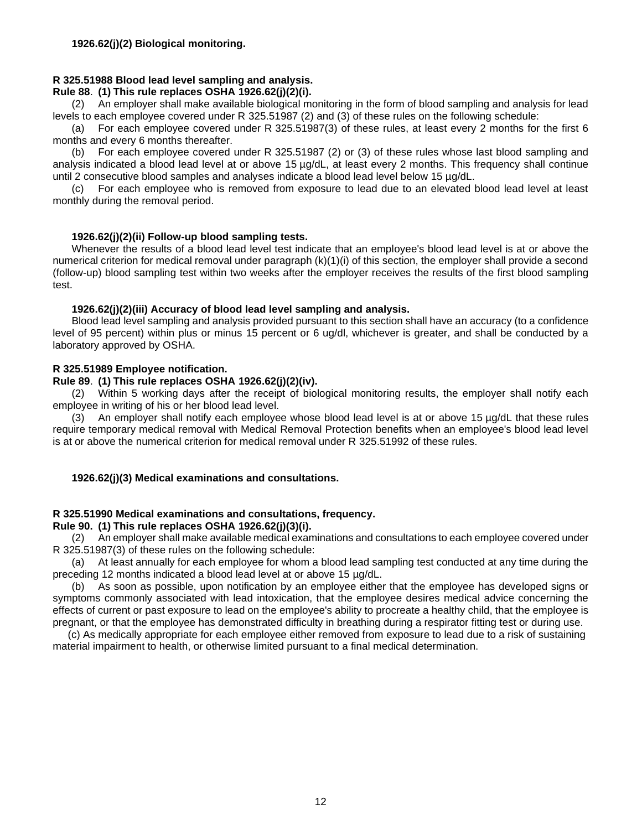# <span id="page-11-0"></span>**R 325.51988 Blood lead level sampling and analysis.**

### **Rule 88**. **(1) This rule replaces OSHA 1926.62(j)(2)(i).**

(2) An employer shall make available biological monitoring in the form of blood sampling and analysis for lead levels to each employee covered under R 325.51987 (2) and (3) of these rules on the following schedule:

(a) For each employee covered under R 325.51987(3) of these rules, at least every 2 months for the first 6 months and every 6 months thereafter.

(b) For each employee covered under R 325.51987 (2) or (3) of these rules whose last blood sampling and analysis indicated a blood lead level at or above 15 µg/dL, at least every 2 months. This frequency shall continue until 2 consecutive blood samples and analyses indicate a blood lead level below 15 µg/dL.

(c) For each employee who is removed from exposure to lead due to an elevated blood lead level at least monthly during the removal period.

# **1926.62(j)(2)(ii) Follow-up blood sampling tests.**

<span id="page-11-3"></span>Whenever the results of a blood lead level test indicate that an employee's blood lead level is at or above the numerical criterion for medical removal under paragraph (k)(1)(i) of this section, the employer shall provide a second (follow-up) blood sampling test within two weeks after the employer receives the results of the first blood sampling test.

# **1926.62(j)(2)(iii) Accuracy of blood lead level sampling and analysis.**

<span id="page-11-4"></span>Blood lead level sampling and analysis provided pursuant to this section shall have an accuracy (to a confidence level of 95 percent) within plus or minus 15 percent or 6 ug/dl, whichever is greater, and shall be conducted by a laboratory approved by OSHA.

# <span id="page-11-1"></span>**R 325.51989 Employee notification.**

# **Rule 89**. **(1) This rule replaces OSHA 1926.62(j)(2)(iv).**

(2) Within 5 working days after the receipt of biological monitoring results, the employer shall notify each employee in writing of his or her blood lead level.

(3) An employer shall notify each employee whose blood lead level is at or above 15 µg/dL that these rules require temporary medical removal with Medical Removal Protection benefits when an employee's blood lead level is at or above the numerical criterion for medical removal under R 325.51992 of these rules.

### <span id="page-11-5"></span>**1926.62(j)(3) Medical examinations and consultations.**

### <span id="page-11-2"></span>**R 325.51990 Medical examinations and consultations, frequency.**

# **Rule 90. (1) This rule replaces OSHA 1926.62(j)(3)(i).**

(2) An employer shall make available medical examinations and consultations to each employee covered under R 325.51987(3) of these rules on the following schedule:

(a) At least annually for each employee for whom a blood lead sampling test conducted at any time during the preceding 12 months indicated a blood lead level at or above 15 µg/dL.

(b) As soon as possible, upon notification by an employee either that the employee has developed signs or symptoms commonly associated with lead intoxication, that the employee desires medical advice concerning the effects of current or past exposure to lead on the employee's ability to procreate a healthy child, that the employee is pregnant, or that the employee has demonstrated difficulty in breathing during a respirator fitting test or during use.

(c) As medically appropriate for each employee either removed from exposure to lead due to a risk of sustaining material impairment to health, or otherwise limited pursuant to a final medical determination.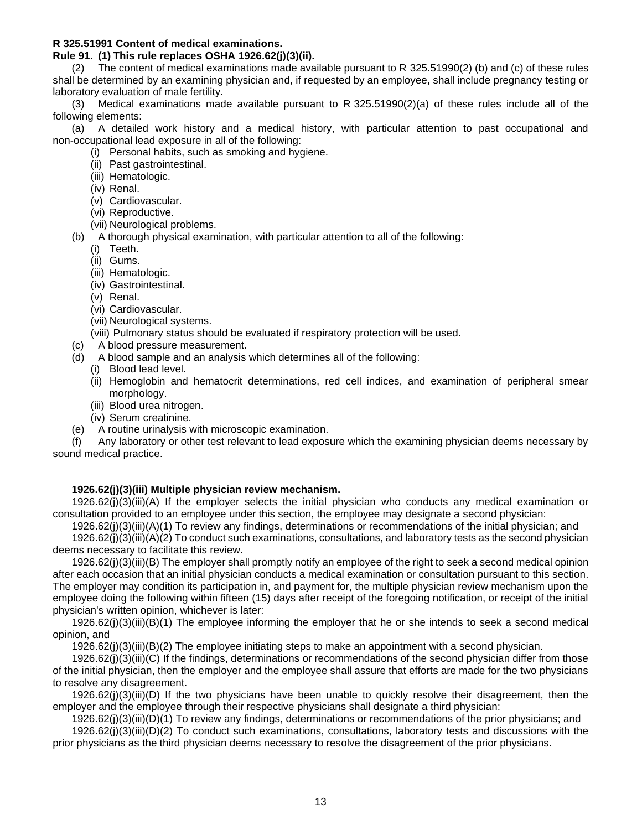### <span id="page-12-0"></span>**R 325.51991 Content of medical examinations.**

# **Rule 91**. **(1) This rule replaces OSHA 1926.62(j)(3)(ii).**

(2) The content of medical examinations made available pursuant to R 325.51990(2) (b) and (c) of these rules shall be determined by an examining physician and, if requested by an employee, shall include pregnancy testing or laboratory evaluation of male fertility.

(3) Medical examinations made available pursuant to R 325.51990(2)(a) of these rules include all of the following elements:

(a) A detailed work history and a medical history, with particular attention to past occupational and non-occupational lead exposure in all of the following:

(i) Personal habits, such as smoking and hygiene.

- (ii) Past gastrointestinal.
- (iii) Hematologic.
- (iv) Renal.
- (v) Cardiovascular.
- (vi) Reproductive.
- (vii) Neurological problems.
- (b) A thorough physical examination, with particular attention to all of the following:
	- (i) Teeth.
	- (ii) Gums.
	- (iii) Hematologic.
	- (iv) Gastrointestinal.
	- (v) Renal.
	- (vi) Cardiovascular.
	- (vii) Neurological systems.

(viii) Pulmonary status should be evaluated if respiratory protection will be used.

- (c) A blood pressure measurement.
- (d) A blood sample and an analysis which determines all of the following:
	- (i) Blood lead level.
	- (ii) Hemoglobin and hematocrit determinations, red cell indices, and examination of peripheral smear morphology.
	- (iii) Blood urea nitrogen.
	- (iv) Serum creatinine.
- (e) A routine urinalysis with microscopic examination.

(f) Any laboratory or other test relevant to lead exposure which the examining physician deems necessary by sound medical practice.

# **1926.62(j)(3)(iii) Multiple physician review mechanism.**

<span id="page-12-1"></span>1926.62(j)(3)(iii)(A) If the employer selects the initial physician who conducts any medical examination or consultation provided to an employee under this section, the employee may designate a second physician:

1926.62(j)(3)(iii)(A)(1) To review any findings, determinations or recommendations of the initial physician; and 1926.62(j)(3)(iii)(A)(2) To conduct such examinations, consultations, and laboratory tests as the second physician deems necessary to facilitate this review.

1926.62(j)(3)(iii)(B) The employer shall promptly notify an employee of the right to seek a second medical opinion after each occasion that an initial physician conducts a medical examination or consultation pursuant to this section. The employer may condition its participation in, and payment for, the multiple physician review mechanism upon the employee doing the following within fifteen (15) days after receipt of the foregoing notification, or receipt of the initial physician's written opinion, whichever is later:

1926.62(j)(3)(iii)(B)(1) The employee informing the employer that he or she intends to seek a second medical opinion, and

1926.62(j)(3)(iii)(B)(2) The employee initiating steps to make an appointment with a second physician.

1926.62(j)(3)(iii)(C) If the findings, determinations or recommendations of the second physician differ from those of the initial physician, then the employer and the employee shall assure that efforts are made for the two physicians to resolve any disagreement.

1926.62(j)(3)(iii)(D) If the two physicians have been unable to quickly resolve their disagreement, then the employer and the employee through their respective physicians shall designate a third physician:

1926.62(j)(3)(iii)(D)(1) To review any findings, determinations or recommendations of the prior physicians; and 1926.62(j)(3)(iii)(D)(2) To conduct such examinations, consultations, laboratory tests and discussions with the prior physicians as the third physician deems necessary to resolve the disagreement of the prior physicians.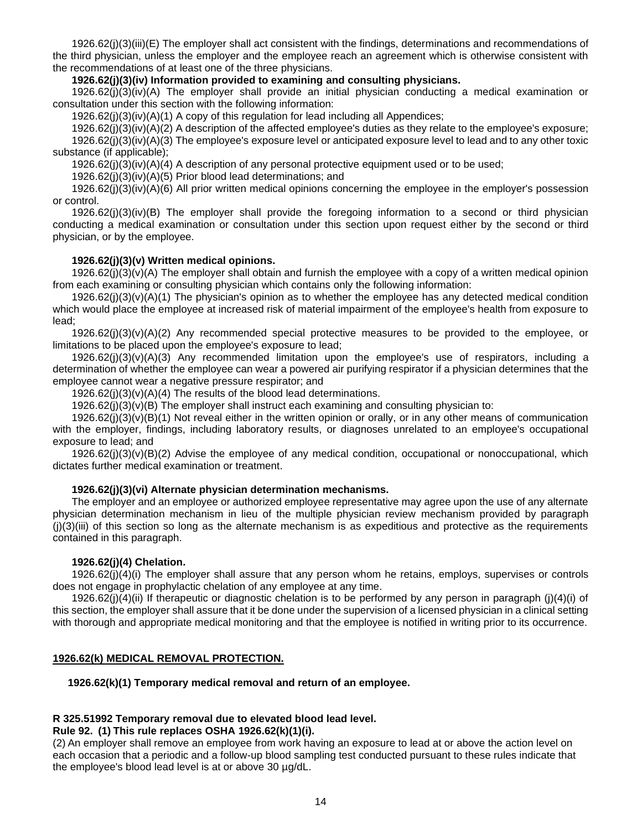1926.62(j)(3)(iii)(E) The employer shall act consistent with the findings, determinations and recommendations of the third physician, unless the employer and the employee reach an agreement which is otherwise consistent with the recommendations of at least one of the three physicians.

#### **1926.62(j)(3)(iv) Information provided to examining and consulting physicians.**

<span id="page-13-2"></span>1926.62(j)(3)(iv)(A) The employer shall provide an initial physician conducting a medical examination or consultation under this section with the following information:

1926.62(j)(3)(iv)(A)(1) A copy of this regulation for lead including all Appendices;

1926.62(j)(3)(iv)(A)(2) A description of the affected employee's duties as they relate to the employee's exposure;

1926.62(j)(3)(iv)(A)(3) The employee's exposure level or anticipated exposure level to lead and to any other toxic substance (if applicable);

1926.62(j)(3)(iv)(A)(4) A description of any personal protective equipment used or to be used;

1926.62(j)(3)(iv)(A)(5) Prior blood lead determinations; and

1926.62(j)(3)(iv)(A)(6) All prior written medical opinions concerning the employee in the employer's possession or control.

1926.62(j)(3)(iv)(B) The employer shall provide the foregoing information to a second or third physician conducting a medical examination or consultation under this section upon request either by the second or third physician, or by the employee.

# **1926.62(j)(3)(v) Written medical opinions.**

<span id="page-13-3"></span>1926.62(j)(3)(v)(A) The employer shall obtain and furnish the employee with a copy of a written medical opinion from each examining or consulting physician which contains only the following information:

1926.62(j)(3)(v)(A)(1) The physician's opinion as to whether the employee has any detected medical condition which would place the employee at increased risk of material impairment of the employee's health from exposure to lead;

1926.62(j)(3)(v)(A)(2) Any recommended special protective measures to be provided to the employee, or limitations to be placed upon the employee's exposure to lead;

1926.62(j)(3)(v)(A)(3) Any recommended limitation upon the employee's use of respirators, including a determination of whether the employee can wear a powered air purifying respirator if a physician determines that the employee cannot wear a negative pressure respirator; and

 $1926.62(i)(3)(v)(A)(4)$  The results of the blood lead determinations.

 $1926.62(j)(3)(v)(B)$  The employer shall instruct each examining and consulting physician to:

1926.62(j)(3)(v)(B)(1) Not reveal either in the written opinion or orally, or in any other means of communication with the employer, findings, including laboratory results, or diagnoses unrelated to an employee's occupational exposure to lead; and

1926.62(j)(3)(v)(B)(2) Advise the employee of any medical condition, occupational or nonoccupational, which dictates further medical examination or treatment.

### **1926.62(j)(3)(vi) Alternate physician determination mechanisms.**

<span id="page-13-4"></span>The employer and an employee or authorized employee representative may agree upon the use of any alternate physician determination mechanism in lieu of the multiple physician review mechanism provided by paragraph (j)(3)(iii) of this section so long as the alternate mechanism is as expeditious and protective as the requirements contained in this paragraph.

### **1926.62(j)(4) Chelation.**

<span id="page-13-5"></span>1926.62(j)(4)(i) The employer shall assure that any person whom he retains, employs, supervises or controls does not engage in prophylactic chelation of any employee at any time.

1926.62(j)(4)(ii) If therapeutic or diagnostic chelation is to be performed by any person in paragraph (j)(4)(i) of this section, the employer shall assure that it be done under the supervision of a licensed physician in a clinical setting with thorough and appropriate medical monitoring and that the employee is notified in writing prior to its occurrence.

### <span id="page-13-1"></span>**1926.62(k) MEDICAL REMOVAL PROTECTION.**

<span id="page-13-6"></span>**1926.62(k)(1) Temporary medical removal and return of an employee.**

### <span id="page-13-0"></span>**R 325.51992 Temporary removal due to elevated blood lead level.**

### **Rule 92. (1) This rule replaces OSHA 1926.62(k)(1)(i).**

(2) An employer shall remove an employee from work having an exposure to lead at or above the action level on each occasion that a periodic and a follow-up blood sampling test conducted pursuant to these rules indicate that the employee's blood lead level is at or above 30 µg/dL.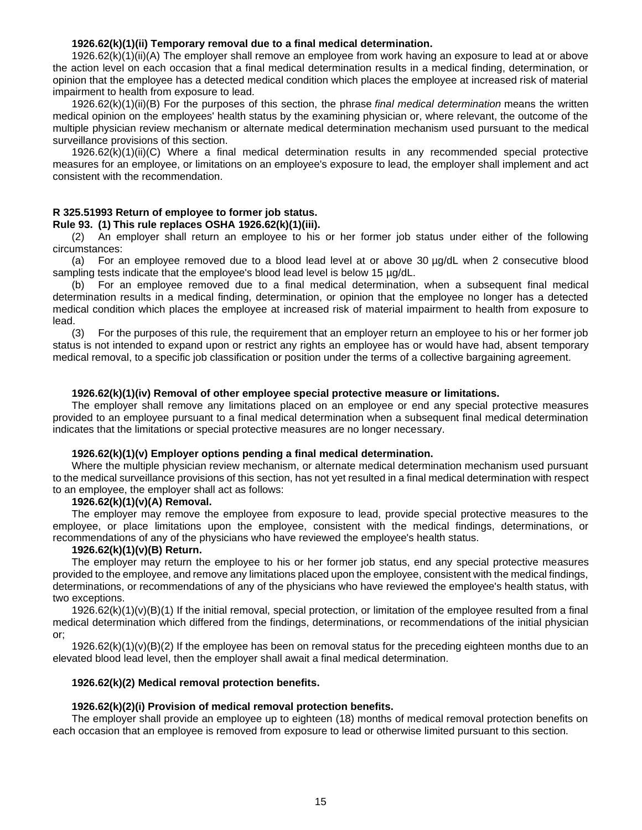#### **1926.62(k)(1)(ii) Temporary removal due to a final medical determination.**

<span id="page-14-1"></span>1926.62(k)(1)(ii)(A) The employer shall remove an employee from work having an exposure to lead at or above the action level on each occasion that a final medical determination results in a medical finding, determination, or opinion that the employee has a detected medical condition which places the employee at increased risk of material impairment to health from exposure to lead.

1926.62(k)(1)(ii)(B) For the purposes of this section, the phrase *final medical determination* means the written medical opinion on the employees' health status by the examining physician or, where relevant, the outcome of the multiple physician review mechanism or alternate medical determination mechanism used pursuant to the medical surveillance provisions of this section.

1926.62(k)(1)(ii)(C) Where a final medical determination results in any recommended special protective measures for an employee, or limitations on an employee's exposure to lead, the employer shall implement and act consistent with the recommendation.

# <span id="page-14-0"></span>**R 325.51993 Return of employee to former job status.**

### **Rule 93. (1) This rule replaces OSHA 1926.62(k)(1)(iii).**

(2) An employer shall return an employee to his or her former job status under either of the following circumstances:

(a) For an employee removed due to a blood lead level at or above 30 µg/dL when 2 consecutive blood sampling tests indicate that the employee's blood lead level is below 15 µg/dL.

(b) For an employee removed due to a final medical determination, when a subsequent final medical determination results in a medical finding, determination, or opinion that the employee no longer has a detected medical condition which places the employee at increased risk of material impairment to health from exposure to lead.

(3) For the purposes of this rule, the requirement that an employer return an employee to his or her former job status is not intended to expand upon or restrict any rights an employee has or would have had, absent temporary medical removal, to a specific job classification or position under the terms of a collective bargaining agreement.

#### **1926.62(k)(1)(iv) Removal of other employee special protective measure or limitations.**

<span id="page-14-2"></span>The employer shall remove any limitations placed on an employee or end any special protective measures provided to an employee pursuant to a final medical determination when a subsequent final medical determination indicates that the limitations or special protective measures are no longer necessary.

#### **1926.62(k)(1)(v) Employer options pending a final medical determination.**

<span id="page-14-4"></span><span id="page-14-3"></span>Where the multiple physician review mechanism, or alternate medical determination mechanism used pursuant to the medical surveillance provisions of this section, has not yet resulted in a final medical determination with respect to an employee, the employer shall act as follows:

### **1926.62(k)(1)(v)(A) Removal.**

<span id="page-14-5"></span>The employer may remove the employee from exposure to lead, provide special protective measures to the employee, or place limitations upon the employee, consistent with the medical findings, determinations, or recommendations of any of the physicians who have reviewed the employee's health status.

#### **1926.62(k)(1)(v)(B) Return.**

The employer may return the employee to his or her former job status, end any special protective measures provided to the employee, and remove any limitations placed upon the employee, consistent with the medical findings, determinations, or recommendations of any of the physicians who have reviewed the employee's health status, with two exceptions.

1926.62(k)(1)(v)(B)(1) If the initial removal, special protection, or limitation of the employee resulted from a final medical determination which differed from the findings, determinations, or recommendations of the initial physician or;

1926.62(k)(1)(v)(B)(2) If the employee has been on removal status for the preceding eighteen months due to an elevated blood lead level, then the employer shall await a final medical determination.

#### <span id="page-14-6"></span>**1926.62(k)(2) Medical removal protection benefits.**

### **1926.62(k)(2)(i) Provision of medical removal protection benefits.**

<span id="page-14-7"></span>The employer shall provide an employee up to eighteen (18) months of medical removal protection benefits on each occasion that an employee is removed from exposure to lead or otherwise limited pursuant to this section.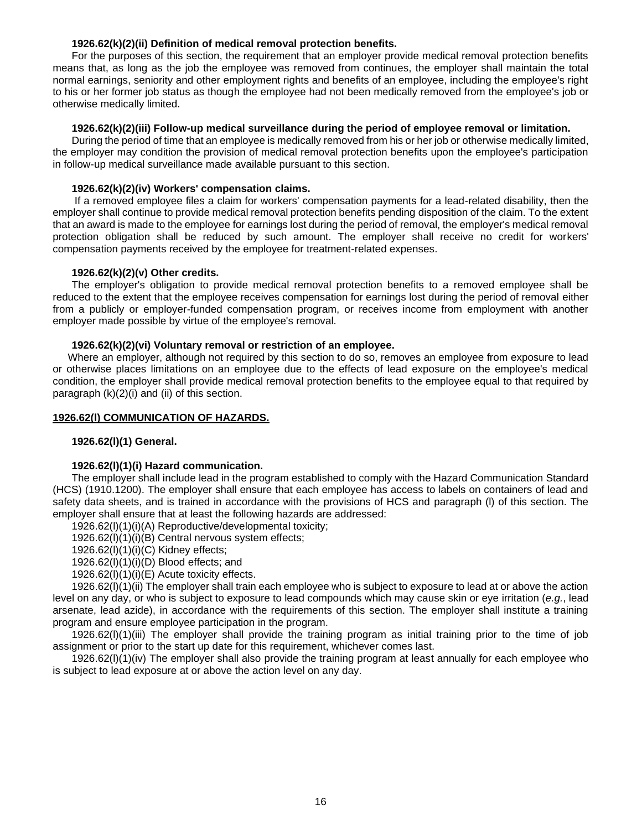### **1926.62(k)(2)(ii) Definition of medical removal protection benefits.**

<span id="page-15-1"></span>For the purposes of this section, the requirement that an employer provide medical removal protection benefits means that, as long as the job the employee was removed from continues, the employer shall maintain the total normal earnings, seniority and other employment rights and benefits of an employee, including the employee's right to his or her former job status as though the employee had not been medically removed from the employee's job or otherwise medically limited.

### **1926.62(k)(2)(iii) Follow-up medical surveillance during the period of employee removal or limitation.**

<span id="page-15-2"></span>During the period of time that an employee is medically removed from his or her job or otherwise medically limited, the employer may condition the provision of medical removal protection benefits upon the employee's participation in follow-up medical surveillance made available pursuant to this section.

### **1926.62(k)(2)(iv) Workers' compensation claims.**

<span id="page-15-3"></span>If a removed employee files a claim for workers' compensation payments for a lead-related disability, then the employer shall continue to provide medical removal protection benefits pending disposition of the claim. To the extent that an award is made to the employee for earnings lost during the period of removal, the employer's medical removal protection obligation shall be reduced by such amount. The employer shall receive no credit for workers' compensation payments received by the employee for treatment-related expenses.

# **1926.62(k)(2)(v) Other credits.**

<span id="page-15-4"></span>The employer's obligation to provide medical removal protection benefits to a removed employee shall be reduced to the extent that the employee receives compensation for earnings lost during the period of removal either from a publicly or employer-funded compensation program, or receives income from employment with another employer made possible by virtue of the employee's removal.

### **1926.62(k)(2)(vi) Voluntary removal or restriction of an employee.**

<span id="page-15-5"></span>Where an employer, although not required by this section to do so, removes an employee from exposure to lead or otherwise places limitations on an employee due to the effects of lead exposure on the employee's medical condition, the employer shall provide medical removal protection benefits to the employee equal to that required by paragraph (k)(2)(i) and (ii) of this section.

# <span id="page-15-0"></span>**1926.62(l) COMMUNICATION OF HAZARDS.**

### <span id="page-15-6"></span>**1926.62(l)(1) General.**

### **1926.62(l)(1)(i) Hazard communication.**

<span id="page-15-7"></span>The employer shall include lead in the program established to comply with the Hazard Communication Standard (HCS) (1910.1200). The employer shall ensure that each employee has access to labels on containers of lead and safety data sheets, and is trained in accordance with the provisions of HCS and paragraph (l) of this section. The employer shall ensure that at least the following hazards are addressed:

1926.62(l)(1)(i)(A) Reproductive/developmental toxicity;

1926.62(l)(1)(i)(B) Central nervous system effects;

1926.62(l)(1)(i)(C) Kidney effects;

1926.62(l)(1)(i)(D) Blood effects; and

1926.62(l)(1)(i)(E) Acute toxicity effects.

1926.62(l)(1)(ii) The employer shall train each employee who is subject to exposure to lead at or above the action level on any day, or who is subject to exposure to lead compounds which may cause skin or eye irritation (*e.g.*, lead arsenate, lead azide), in accordance with the requirements of this section. The employer shall institute a training program and ensure employee participation in the program.

1926.62(l)(1)(iii) The employer shall provide the training program as initial training prior to the time of job assignment or prior to the start up date for this requirement, whichever comes last.

1926.62(l)(1)(iv) The employer shall also provide the training program at least annually for each employee who is subject to lead exposure at or above the action level on any day.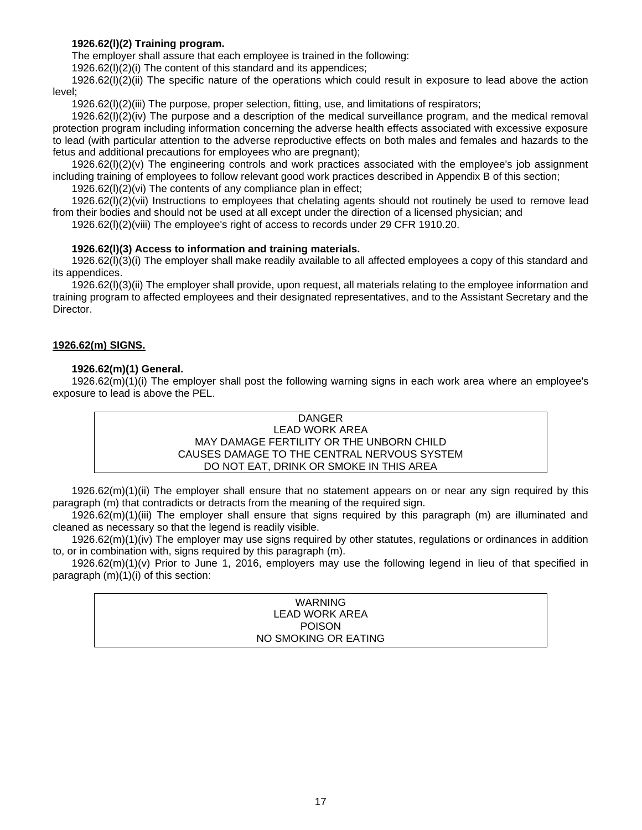# <span id="page-16-1"></span>**1926.62(l)(2) Training program.**

The employer shall assure that each employee is trained in the following:

1926.62(l)(2)(i) The content of this standard and its appendices;

1926.62(l)(2)(ii) The specific nature of the operations which could result in exposure to lead above the action level;

1926.62(l)(2)(iii) The purpose, proper selection, fitting, use, and limitations of respirators;

1926.62(l)(2)(iv) The purpose and a description of the medical surveillance program, and the medical removal protection program including information concerning the adverse health effects associated with excessive exposure to lead (with particular attention to the adverse reproductive effects on both males and females and hazards to the fetus and additional precautions for employees who are pregnant);

1926.62(l)(2)(v) The engineering controls and work practices associated with the employee's job assignment including training of employees to follow relevant good work practices described in Appendix B of this section;

1926.62(l)(2)(vi) The contents of any compliance plan in effect;

1926.62(l)(2)(vii) Instructions to employees that chelating agents should not routinely be used to remove lead from their bodies and should not be used at all except under the direction of a licensed physician; and

1926.62(l)(2)(viii) The employee's right of access to records under 29 CFR 1910.20.

# **1926.62(l)(3) Access to information and training materials.**

<span id="page-16-2"></span>1926.62(l)(3)(i) The employer shall make readily available to all affected employees a copy of this standard and its appendices.

1926.62(l)(3)(ii) The employer shall provide, upon request, all materials relating to the employee information and training program to affected employees and their designated representatives, and to the Assistant Secretary and the Director.

# <span id="page-16-0"></span>**1926.62(m) SIGNS.**

# **1926.62(m)(1) General.**

<span id="page-16-3"></span>1926.62(m)(1)(i) The employer shall post the following warning signs in each work area where an employee's exposure to lead is above the PEL.

# **DANGER** LEAD WORK AREA MAY DAMAGE FERTILITY OR THE UNBORN CHILD CAUSES DAMAGE TO THE CENTRAL NERVOUS SYSTEM DO NOT EAT, DRINK OR SMOKE IN THIS AREA

1926.62(m)(1)(ii) The employer shall ensure that no statement appears on or near any sign required by this paragraph (m) that contradicts or detracts from the meaning of the required sign.

1926.62(m)(1)(iii) The employer shall ensure that signs required by this paragraph (m) are illuminated and cleaned as necessary so that the legend is readily visible.

1926.62(m)(1)(iv) The employer may use signs required by other statutes, regulations or ordinances in addition to, or in combination with, signs required by this paragraph (m).

1926.62(m)(1)(v) Prior to June 1, 2016, employers may use the following legend in lieu of that specified in paragraph (m)(1)(i) of this section:

> WARNING LEAD WORK AREA POISON NO SMOKING OR EATING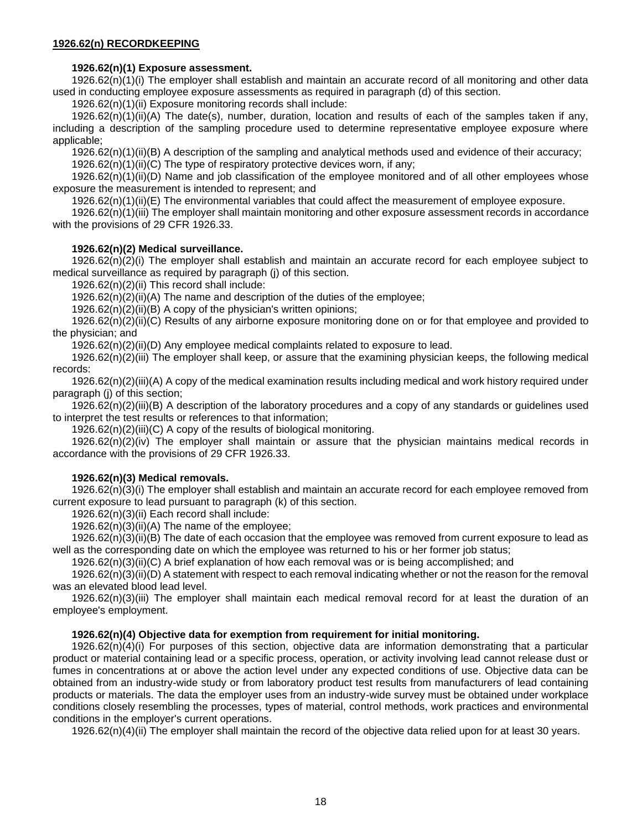# <span id="page-17-0"></span>**1926.62(n)(1) Exposure assessment.**

<span id="page-17-1"></span>1926.62(n)(1)(i) The employer shall establish and maintain an accurate record of all monitoring and other data used in conducting employee exposure assessments as required in paragraph (d) of this section.

1926.62(n)(1)(ii) Exposure monitoring records shall include:

1926.62(n)(1)(ii)(A) The date(s), number, duration, location and results of each of the samples taken if any, including a description of the sampling procedure used to determine representative employee exposure where applicable;

1926.62(n)(1)(ii)(B) A description of the sampling and analytical methods used and evidence of their accuracy;

1926.62(n)(1)(ii)(C) The type of respiratory protective devices worn, if any;

1926.62(n)(1)(ii)(D) Name and job classification of the employee monitored and of all other employees whose exposure the measurement is intended to represent; and

1926.62(n)(1)(ii)(E) The environmental variables that could affect the measurement of employee exposure.

1926.62(n)(1)(iii) The employer shall maintain monitoring and other exposure assessment records in accordance with the provisions of 29 CFR 1926.33.

# <span id="page-17-2"></span>**1926.62(n)(2) Medical surveillance.**

1926.62(n)(2)(i) The employer shall establish and maintain an accurate record for each employee subject to medical surveillance as required by paragraph (j) of this section.

1926.62(n)(2)(ii) This record shall include:

1926.62(n)(2)(ii)(A) The name and description of the duties of the employee;

1926.62(n)(2)(ii)(B) A copy of the physician's written opinions;

1926.62(n)(2)(ii)(C) Results of any airborne exposure monitoring done on or for that employee and provided to the physician; and

1926.62(n)(2)(ii)(D) Any employee medical complaints related to exposure to lead.

1926.62(n)(2)(iii) The employer shall keep, or assure that the examining physician keeps, the following medical records:

1926.62(n)(2)(iii)(A) A copy of the medical examination results including medical and work history required under paragraph (j) of this section;

1926.62(n)(2)(iii)(B) A description of the laboratory procedures and a copy of any standards or guidelines used to interpret the test results or references to that information;

1926.62(n)(2)(iii)(C) A copy of the results of biological monitoring.

1926.62(n)(2)(iv) The employer shall maintain or assure that the physician maintains medical records in accordance with the provisions of 29 CFR 1926.33.

### **1926.62(n)(3) Medical removals.**

<span id="page-17-3"></span>1926.62(n)(3)(i) The employer shall establish and maintain an accurate record for each employee removed from current exposure to lead pursuant to paragraph (k) of this section.

1926.62(n)(3)(ii) Each record shall include:

1926.62(n)(3)(ii)(A) The name of the employee;

1926.62(n)(3)(ii)(B) The date of each occasion that the employee was removed from current exposure to lead as well as the corresponding date on which the employee was returned to his or her former job status;

1926.62(n)(3)(ii)(C) A brief explanation of how each removal was or is being accomplished; and

1926.62(n)(3)(ii)(D) A statement with respect to each removal indicating whether or not the reason for the removal was an elevated blood lead level.

1926.62(n)(3)(iii) The employer shall maintain each medical removal record for at least the duration of an employee's employment.

### <span id="page-17-4"></span>**[1926.62\(n\)\(4\)](https://www.osha.gov/pls/oshaweb/owalink.query_links?src_doc_type=STANDARDS&src_unique_file=1926_0062&src_anchor_name=1926.62(n)(4)) Objective data for exemption from requirement for initial monitoring.**

1926.62(n)(4)(i) For purposes of this section, objective data are information demonstrating that a particular product or material containing lead or a specific process, operation, or activity involving lead cannot release dust or fumes in concentrations at or above the action level under any expected conditions of use. Objective data can be obtained from an industry-wide study or from laboratory product test results from manufacturers of lead containing products or materials. The data the employer uses from an industry-wide survey must be obtained under workplace conditions closely resembling the processes, types of material, control methods, work practices and environmental conditions in the employer's current operations.

1926.62(n)(4)(ii) The employer shall maintain the record of the objective data relied upon for at least 30 years.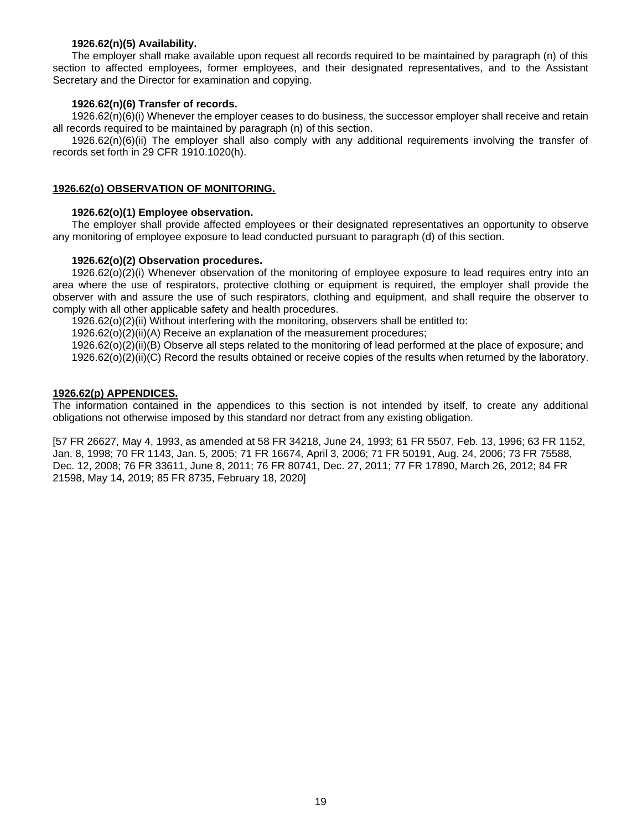### **1926.62(n)(5) Availability.**

<span id="page-18-2"></span>The employer shall make available upon request all records required to be maintained by paragraph (n) of this section to affected employees, former employees, and their designated representatives, and to the Assistant Secretary and the Director for examination and copying.

# **1926.62(n)(6) Transfer of records.**

<span id="page-18-3"></span>1926.62(n)(6)(i) Whenever the employer ceases to do business, the successor employer shall receive and retain all records required to be maintained by paragraph (n) of this section.

1926.62(n)(6)(ii) The employer shall also comply with any additional requirements involving the transfer of records set forth in 29 CFR 1910.1020(h).

### <span id="page-18-0"></span>**1926.62(o) OBSERVATION OF MONITORING.**

# **1926.62(o)(1) Employee observation.**

<span id="page-18-4"></span>The employer shall provide affected employees or their designated representatives an opportunity to observe any monitoring of employee exposure to lead conducted pursuant to paragraph (d) of this section.

# **1926.62(o)(2) Observation procedures.**

<span id="page-18-5"></span>1926.62(o)(2)(i) Whenever observation of the monitoring of employee exposure to lead requires entry into an area where the use of respirators, protective clothing or equipment is required, the employer shall provide the observer with and assure the use of such respirators, clothing and equipment, and shall require the observer to comply with all other applicable safety and health procedures.

1926.62(o)(2)(ii) Without interfering with the monitoring, observers shall be entitled to:

1926.62(o)(2)(ii)(A) Receive an explanation of the measurement procedures;

1926.62(o)(2)(ii)(B) Observe all steps related to the monitoring of lead performed at the place of exposure; and

1926.62(o)(2)(ii)(C) Record the results obtained or receive copies of the results when returned by the laboratory.

# <span id="page-18-1"></span>**1926.62(p) APPENDICES.**

The information contained in the appendices to this section is not intended by itself, to create any additional obligations not otherwise imposed by this standard nor detract from any existing obligation.

[57 FR 26627, May 4, 1993, as amended at 58 FR 34218, June 24, 1993; 61 FR 5507, Feb. 13, 1996; 63 FR 1152, Jan. 8, 1998; 70 FR 1143, Jan. 5, 2005; 71 FR 16674, April 3, 2006; 71 FR 50191, Aug. 24, 2006; 73 FR 75588, Dec. 12, 2008; 76 FR 33611, June 8, 2011; 76 FR 80741, Dec. 27, 2011; 77 FR 17890, March 26, 2012; 84 FR [21598, May 14, 2019; 85 FR 8735, February 18, 2020\]](https://www.dol.gov/)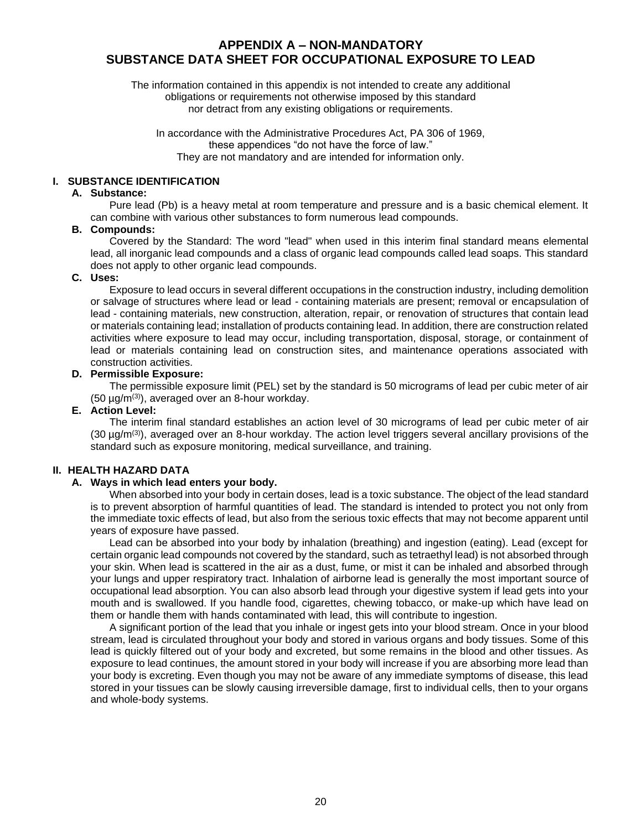# <span id="page-19-1"></span><span id="page-19-0"></span>**APPENDIX A – NON-MANDATORY SUBSTANCE DATA SHEET FOR OCCUPATIONAL EXPOSURE TO LEAD**

The information contained in this appendix is not intended to create any additional obligations or requirements not otherwise imposed by this standard nor detract from any existing obligations or requirements.

In accordance with the Administrative Procedures Act, PA 306 of 1969, these appendices "do not have the force of law." They are not mandatory and are intended for information only.

### <span id="page-19-3"></span><span id="page-19-2"></span>**I. SUBSTANCE IDENTIFICATION**

### **A. Substance:**

Pure lead (Pb) is a heavy metal at room temperature and pressure and is a basic chemical element. It can combine with various other substances to form numerous lead compounds.

# <span id="page-19-4"></span>**B. Compounds:**

Covered by the Standard: The word "lead" when used in this interim final standard means elemental lead, all inorganic lead compounds and a class of organic lead compounds called lead soaps. This standard does not apply to other organic lead compounds.

# <span id="page-19-5"></span>**C. Uses:**

Exposure to lead occurs in several different occupations in the construction industry, including demolition or salvage of structures where lead or lead - containing materials are present; removal or encapsulation of lead - containing materials, new construction, alteration, repair, or renovation of structures that contain lead or materials containing lead; installation of products containing lead. In addition, there are construction related activities where exposure to lead may occur, including transportation, disposal, storage, or containment of lead or materials containing lead on construction sites, and maintenance operations associated with construction activities.

### <span id="page-19-6"></span>**D. Permissible Exposure:**

The permissible exposure limit (PEL) set by the standard is 50 micrograms of lead per cubic meter of air (50 µg/m(3)), averaged over an 8-hour workday.

### <span id="page-19-7"></span>**E. Action Level:**

The interim final standard establishes an action level of 30 micrograms of lead per cubic meter of air  $(30 \mu q/m^{(3)})$ , averaged over an 8-hour workday. The action level triggers several ancillary provisions of the standard such as exposure monitoring, medical surveillance, and training.

# <span id="page-19-9"></span><span id="page-19-8"></span>**II. HEALTH HAZARD DATA**

# **A. Ways in which lead enters your body.**

When absorbed into your body in certain doses, lead is a toxic substance. The object of the lead standard is to prevent absorption of harmful quantities of lead. The standard is intended to protect you not only from the immediate toxic effects of lead, but also from the serious toxic effects that may not become apparent until years of exposure have passed.

Lead can be absorbed into your body by inhalation (breathing) and ingestion (eating). Lead (except for certain organic lead compounds not covered by the standard, such as tetraethyl lead) is not absorbed through your skin. When lead is scattered in the air as a dust, fume, or mist it can be inhaled and absorbed through your lungs and upper respiratory tract. Inhalation of airborne lead is generally the most important source of occupational lead absorption. You can also absorb lead through your digestive system if lead gets into your mouth and is swallowed. If you handle food, cigarettes, chewing tobacco, or make-up which have lead on them or handle them with hands contaminated with lead, this will contribute to ingestion.

A significant portion of the lead that you inhale or ingest gets into your blood stream. Once in your blood stream, lead is circulated throughout your body and stored in various organs and body tissues. Some of this lead is quickly filtered out of your body and excreted, but some remains in the blood and other tissues. As exposure to lead continues, the amount stored in your body will increase if you are absorbing more lead than your body is excreting. Even though you may not be aware of any immediate symptoms of disease, this lead stored in your tissues can be slowly causing irreversible damage, first to individual cells, then to your organs and whole-body systems.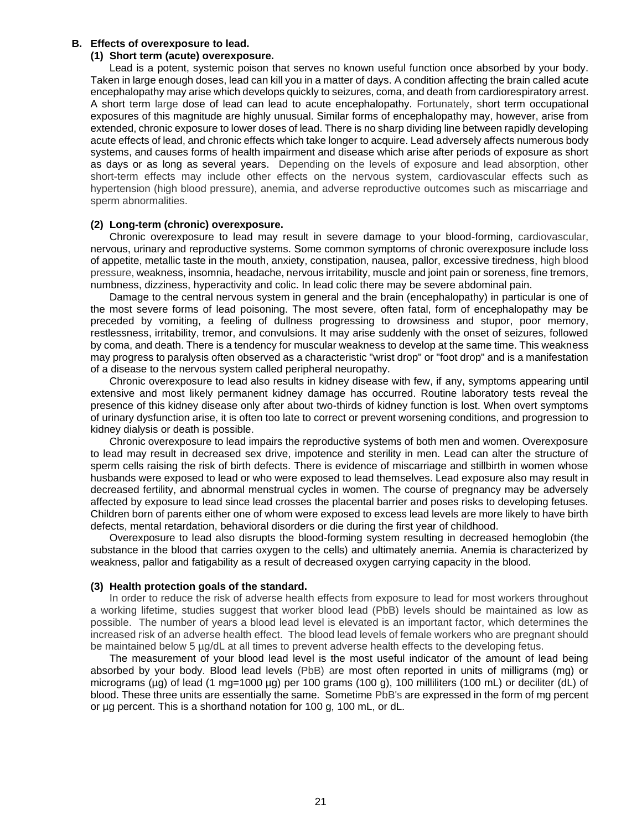#### <span id="page-20-1"></span><span id="page-20-0"></span>**B. Effects of overexposure to lead.**

#### **(1) Short term (acute) overexposure.**

Lead is a potent, systemic poison that serves no known useful function once absorbed by your body. Taken in large enough doses, lead can kill you in a matter of days. A condition affecting the brain called acute encephalopathy may arise which develops quickly to seizures, coma, and death from cardiorespiratory arrest. A short term large dose of lead can lead to acute encephalopathy. Fortunately, short term occupational exposures of this magnitude are highly unusual. Similar forms of encephalopathy may, however, arise from extended, chronic exposure to lower doses of lead. There is no sharp dividing line between rapidly developing acute effects of lead, and chronic effects which take longer to acquire. Lead adversely affects numerous body systems, and causes forms of health impairment and disease which arise after periods of exposure as short as days or as long as several years. Depending on the levels of exposure and lead absorption, other short-term effects may include other effects on the nervous system, cardiovascular effects such as hypertension (high blood pressure), anemia, and adverse reproductive outcomes such as miscarriage and sperm abnormalities.

#### <span id="page-20-2"></span>**(2) Long-term (chronic) overexposure.**

Chronic overexposure to lead may result in severe damage to your blood-forming, cardiovascular, nervous, urinary and reproductive systems. Some common symptoms of chronic overexposure include loss of appetite, metallic taste in the mouth, anxiety, constipation, nausea, pallor, excessive tiredness, high blood pressure, weakness, insomnia, headache, nervous irritability, muscle and joint pain or soreness, fine tremors, numbness, dizziness, hyperactivity and colic. In lead colic there may be severe abdominal pain.

Damage to the central nervous system in general and the brain (encephalopathy) in particular is one of the most severe forms of lead poisoning. The most severe, often fatal, form of encephalopathy may be preceded by vomiting, a feeling of dullness progressing to drowsiness and stupor, poor memory, restlessness, irritability, tremor, and convulsions. It may arise suddenly with the onset of seizures, followed by coma, and death. There is a tendency for muscular weakness to develop at the same time. This weakness may progress to paralysis often observed as a characteristic "wrist drop" or "foot drop" and is a manifestation of a disease to the nervous system called peripheral neuropathy.

Chronic overexposure to lead also results in kidney disease with few, if any, symptoms appearing until extensive and most likely permanent kidney damage has occurred. Routine laboratory tests reveal the presence of this kidney disease only after about two-thirds of kidney function is lost. When overt symptoms of urinary dysfunction arise, it is often too late to correct or prevent worsening conditions, and progression to kidney dialysis or death is possible.

Chronic overexposure to lead impairs the reproductive systems of both men and women. Overexposure to lead may result in decreased sex drive, impotence and sterility in men. Lead can alter the structure of sperm cells raising the risk of birth defects. There is evidence of miscarriage and stillbirth in women whose husbands were exposed to lead or who were exposed to lead themselves. Lead exposure also may result in decreased fertility, and abnormal menstrual cycles in women. The course of pregnancy may be adversely affected by exposure to lead since lead crosses the placental barrier and poses risks to developing fetuses. Children born of parents either one of whom were exposed to excess lead levels are more likely to have birth defects, mental retardation, behavioral disorders or die during the first year of childhood.

Overexposure to lead also disrupts the blood-forming system resulting in decreased hemoglobin (the substance in the blood that carries oxygen to the cells) and ultimately anemia. Anemia is characterized by weakness, pallor and fatigability as a result of decreased oxygen carrying capacity in the blood.

#### <span id="page-20-3"></span>**(3) Health protection goals of the standard.**

In order to reduce the risk of adverse health effects from exposure to lead for most workers throughout a working lifetime, studies suggest that worker blood lead (PbB) levels should be maintained as low as possible. The number of years a blood lead level is elevated is an important factor, which determines the increased risk of an adverse health effect. The blood lead levels of female workers who are pregnant should be maintained below 5  $\mu$ g/dL at all times to prevent adverse health effects to the developing fetus.

The measurement of your blood lead level is the most useful indicator of the amount of lead being absorbed by your body. Blood lead levels (PbB) are most often reported in units of milligrams (mg) or micrograms (µg) of lead (1 mg=1000 µg) per 100 grams (100 g), 100 milliliters (100 mL) or deciliter (dL) of blood. These three units are essentially the same. Sometime PbB's are expressed in the form of mg percent or µg percent. This is a shorthand notation for 100 g, 100 mL, or dL.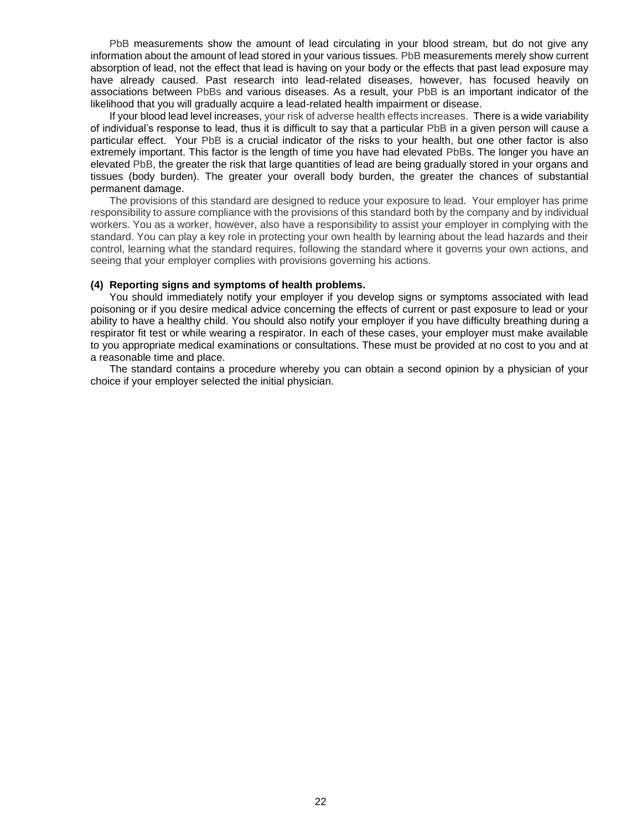PbB measurements show the amount of lead circulating in your blood stream, but do not give any information about the amount of lead stored in your various tissues. PbB measurements merely show current absorption of lead, not the effect that lead is having on your body or the effects that past lead exposure may have already caused. Past research into lead-related diseases, however, has focused heavily on associations between PbBs and various diseases. As a result, your PbB is an important indicator of the likelihood that you will gradually acquire a lead-related health impairment or disease.

If your blood lead level increases, your risk of adverse health effects increases. There is a wide variability of individual's response to lead, thus it is difficult to say that a particular PbB in a given person will cause a particular effect. Your PbB is a crucial indicator of the risks to your health, but one other factor is also extremely important. This factor is the length of time you have had elevated PbBs. The longer you have an elevated PbB, the greater the risk that large quantities of lead are being gradually stored in your organs and tissues (body burden). The greater your overall body burden, the greater the chances of substantial permanent damage.

The provisions of this standard are designed to reduce your exposure to lead. Your employer has prime responsibility to assure compliance with the provisions of this standard both by the company and by individual workers. You as a worker, however, also have a responsibility to assist your employer in complying with the standard. You can play a key role in protecting your own health by learning about the lead hazards and their control, learning what the standard requires, following the standard where it governs your own actions, and seeing that your employer complies with provisions governing his actions.

#### <span id="page-21-0"></span>**(4) Reporting signs and symptoms of health problems.**

You should immediately notify your employer if you develop signs or symptoms associated with lead poisoning or if you desire medical advice concerning the effects of current or past exposure to lead or your ability to have a healthy child. You should also notify your employer if you have difficulty breathing during a respirator fit test or while wearing a respirator. In each of these cases, your employer must make available to you appropriate medical examinations or consultations. These must be provided at no cost to you and at a reasonable time and place.

The standard contains a procedure whereby you can obtain a second opinion by a physician of your choice if your employer selected the initial physician.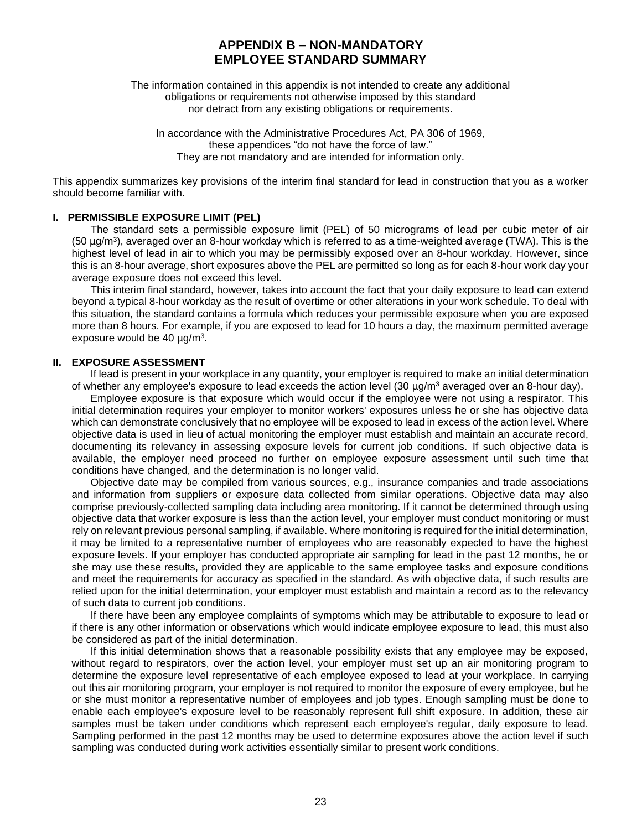# **APPENDIX B – NON-MANDATORY EMPLOYEE STANDARD SUMMARY**

<span id="page-22-1"></span><span id="page-22-0"></span>The information contained in this appendix is not intended to create any additional obligations or requirements not otherwise imposed by this standard nor detract from any existing obligations or requirements.

In accordance with the Administrative Procedures Act, PA 306 of 1969, these appendices "do not have the force of law." They are not mandatory and are intended for information only.

This appendix summarizes key provisions of the interim final standard for lead in construction that you as a worker should become familiar with.

#### <span id="page-22-2"></span>**I. PERMISSIBLE EXPOSURE LIMIT (PEL)**

The standard sets a permissible exposure limit (PEL) of 50 micrograms of lead per cubic meter of air  $(50 \,\mu g/m^3)$ , averaged over an 8-hour workday which is referred to as a time-weighted average (TWA). This is the highest level of lead in air to which you may be permissibly exposed over an 8-hour workday. However, since this is an 8-hour average, short exposures above the PEL are permitted so long as for each 8-hour work day your average exposure does not exceed this level.

This interim final standard, however, takes into account the fact that your daily exposure to lead can extend beyond a typical 8-hour workday as the result of overtime or other alterations in your work schedule. To deal with this situation, the standard contains a formula which reduces your permissible exposure when you are exposed more than 8 hours. For example, if you are exposed to lead for 10 hours a day, the maximum permitted average exposure would be 40  $\mu$ g/m<sup>3</sup>.

#### <span id="page-22-3"></span>**II. EXPOSURE ASSESSMENT**

If lead is present in your workplace in any quantity, your employer is required to make an initial determination of whether any employee's exposure to lead exceeds the action level (30 µg/m<sup>3</sup> averaged over an 8-hour day).

Employee exposure is that exposure which would occur if the employee were not using a respirator. This initial determination requires your employer to monitor workers' exposures unless he or she has objective data which can demonstrate conclusively that no employee will be exposed to lead in excess of the action level. Where objective data is used in lieu of actual monitoring the employer must establish and maintain an accurate record, documenting its relevancy in assessing exposure levels for current job conditions. If such objective data is available, the employer need proceed no further on employee exposure assessment until such time that conditions have changed, and the determination is no longer valid.

Objective date may be compiled from various sources, e.g., insurance companies and trade associations and information from suppliers or exposure data collected from similar operations. Objective data may also comprise previously-collected sampling data including area monitoring. If it cannot be determined through using objective data that worker exposure is less than the action level, your employer must conduct monitoring or must rely on relevant previous personal sampling, if available. Where monitoring is required for the initial determination, it may be limited to a representative number of employees who are reasonably expected to have the highest exposure levels. If your employer has conducted appropriate air sampling for lead in the past 12 months, he or she may use these results, provided they are applicable to the same employee tasks and exposure conditions and meet the requirements for accuracy as specified in the standard. As with objective data, if such results are relied upon for the initial determination, your employer must establish and maintain a record as to the relevancy of such data to current job conditions.

If there have been any employee complaints of symptoms which may be attributable to exposure to lead or if there is any other information or observations which would indicate employee exposure to lead, this must also be considered as part of the initial determination.

If this initial determination shows that a reasonable possibility exists that any employee may be exposed, without regard to respirators, over the action level, your employer must set up an air monitoring program to determine the exposure level representative of each employee exposed to lead at your workplace. In carrying out this air monitoring program, your employer is not required to monitor the exposure of every employee, but he or she must monitor a representative number of employees and job types. Enough sampling must be done to enable each employee's exposure level to be reasonably represent full shift exposure. In addition, these air samples must be taken under conditions which represent each employee's regular, daily exposure to lead. Sampling performed in the past 12 months may be used to determine exposures above the action level if such sampling was conducted during work activities essentially similar to present work conditions.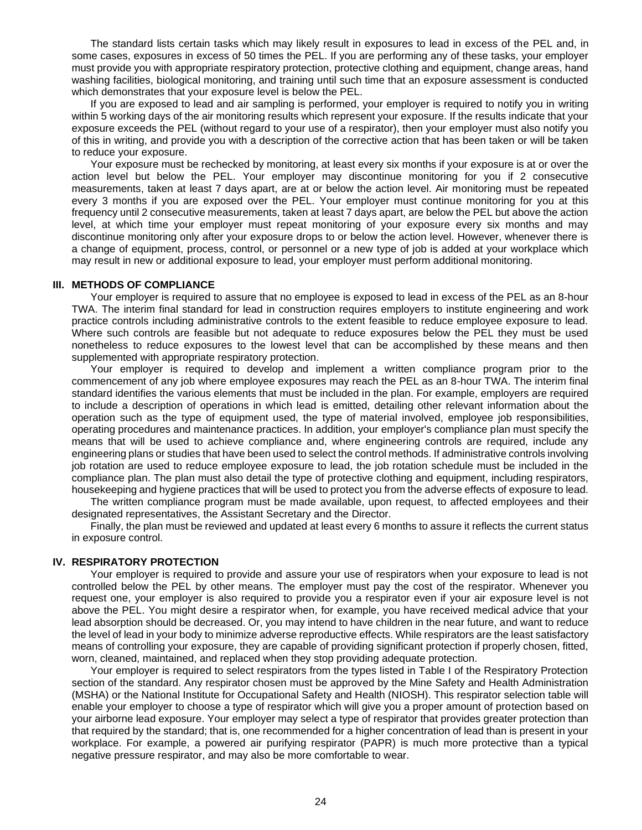The standard lists certain tasks which may likely result in exposures to lead in excess of the PEL and, in some cases, exposures in excess of 50 times the PEL. If you are performing any of these tasks, your employer must provide you with appropriate respiratory protection, protective clothing and equipment, change areas, hand washing facilities, biological monitoring, and training until such time that an exposure assessment is conducted which demonstrates that your exposure level is below the PEL.

If you are exposed to lead and air sampling is performed, your employer is required to notify you in writing within 5 working days of the air monitoring results which represent your exposure. If the results indicate that your exposure exceeds the PEL (without regard to your use of a respirator), then your employer must also notify you of this in writing, and provide you with a description of the corrective action that has been taken or will be taken to reduce your exposure.

Your exposure must be rechecked by monitoring, at least every six months if your exposure is at or over the action level but below the PEL. Your employer may discontinue monitoring for you if 2 consecutive measurements, taken at least 7 days apart, are at or below the action level. Air monitoring must be repeated every 3 months if you are exposed over the PEL. Your employer must continue monitoring for you at this frequency until 2 consecutive measurements, taken at least 7 days apart, are below the PEL but above the action level, at which time your employer must repeat monitoring of your exposure every six months and may discontinue monitoring only after your exposure drops to or below the action level. However, whenever there is a change of equipment, process, control, or personnel or a new type of job is added at your workplace which may result in new or additional exposure to lead, your employer must perform additional monitoring.

#### <span id="page-23-0"></span>**III. METHODS OF COMPLIANCE**

Your employer is required to assure that no employee is exposed to lead in excess of the PEL as an 8-hour TWA. The interim final standard for lead in construction requires employers to institute engineering and work practice controls including administrative controls to the extent feasible to reduce employee exposure to lead. Where such controls are feasible but not adequate to reduce exposures below the PEL they must be used nonetheless to reduce exposures to the lowest level that can be accomplished by these means and then supplemented with appropriate respiratory protection.

Your employer is required to develop and implement a written compliance program prior to the commencement of any job where employee exposures may reach the PEL as an 8-hour TWA. The interim final standard identifies the various elements that must be included in the plan. For example, employers are required to include a description of operations in which lead is emitted, detailing other relevant information about the operation such as the type of equipment used, the type of material involved, employee job responsibilities, operating procedures and maintenance practices. In addition, your employer's compliance plan must specify the means that will be used to achieve compliance and, where engineering controls are required, include any engineering plans or studies that have been used to select the control methods. If administrative controls involving job rotation are used to reduce employee exposure to lead, the job rotation schedule must be included in the compliance plan. The plan must also detail the type of protective clothing and equipment, including respirators, housekeeping and hygiene practices that will be used to protect you from the adverse effects of exposure to lead.

The written compliance program must be made available, upon request, to affected employees and their designated representatives, the Assistant Secretary and the Director.

Finally, the plan must be reviewed and updated at least every 6 months to assure it reflects the current status in exposure control.

#### <span id="page-23-1"></span>**IV. RESPIRATORY PROTECTION**

Your employer is required to provide and assure your use of respirators when your exposure to lead is not controlled below the PEL by other means. The employer must pay the cost of the respirator. Whenever you request one, your employer is also required to provide you a respirator even if your air exposure level is not above the PEL. You might desire a respirator when, for example, you have received medical advice that your lead absorption should be decreased. Or, you may intend to have children in the near future, and want to reduce the level of lead in your body to minimize adverse reproductive effects. While respirators are the least satisfactory means of controlling your exposure, they are capable of providing significant protection if properly chosen, fitted, worn, cleaned, maintained, and replaced when they stop providing adequate protection.

Your employer is required to select respirators from the types listed in Table I of the Respiratory Protection section of the standard. Any respirator chosen must be approved by the Mine Safety and Health Administration (MSHA) or the National Institute for Occupational Safety and Health (NIOSH). This respirator selection table will enable your employer to choose a type of respirator which will give you a proper amount of protection based on your airborne lead exposure. Your employer may select a type of respirator that provides greater protection than that required by the standard; that is, one recommended for a higher concentration of lead than is present in your workplace. For example, a powered air purifying respirator (PAPR) is much more protective than a typical negative pressure respirator, and may also be more comfortable to wear.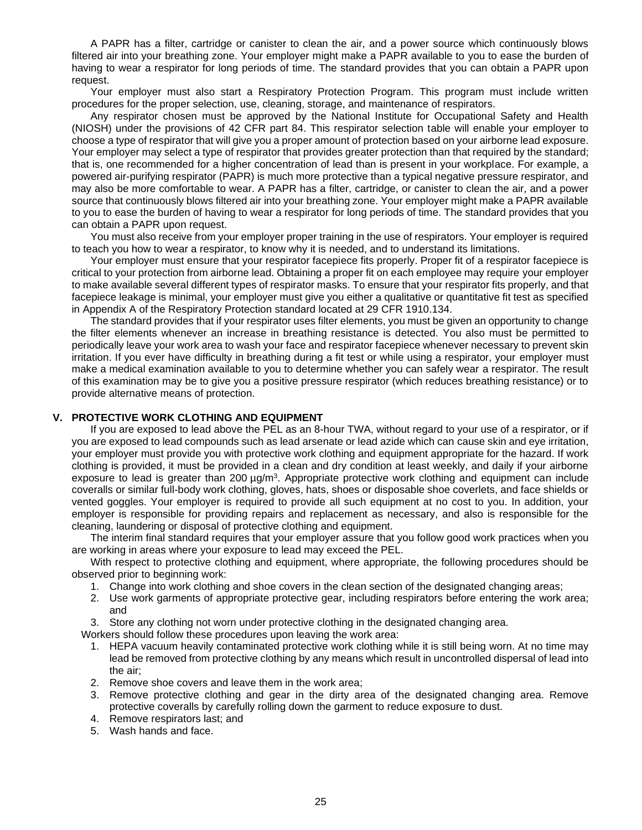A PAPR has a filter, cartridge or canister to clean the air, and a power source which continuously blows filtered air into your breathing zone. Your employer might make a PAPR available to you to ease the burden of having to wear a respirator for long periods of time. The standard provides that you can obtain a PAPR upon request.

Your employer must also start a Respiratory Protection Program. This program must include written procedures for the proper selection, use, cleaning, storage, and maintenance of respirators.

Any respirator chosen must be approved by the National Institute for Occupational Safety and Health (NIOSH) under the provisions of 42 CFR part 84. This respirator selection table will enable your employer to choose a type of respirator that will give you a proper amount of protection based on your airborne lead exposure. Your employer may select a type of respirator that provides greater protection than that required by the standard; that is, one recommended for a higher concentration of lead than is present in your workplace. For example, a powered air-purifying respirator (PAPR) is much more protective than a typical negative pressure respirator, and may also be more comfortable to wear. A PAPR has a filter, cartridge, or canister to clean the air, and a power source that continuously blows filtered air into your breathing zone. Your employer might make a PAPR available to you to ease the burden of having to wear a respirator for long periods of time. The standard provides that you can obtain a PAPR upon request.

You must also receive from your employer proper training in the use of respirators. Your employer is required to teach you how to wear a respirator, to know why it is needed, and to understand its limitations.

Your employer must ensure that your respirator facepiece fits properly. Proper fit of a respirator facepiece is critical to your protection from airborne lead. Obtaining a proper fit on each employee may require your employer to make available several different types of respirator masks. To ensure that your respirator fits properly, and that facepiece leakage is minimal, your employer must give you either a qualitative or quantitative fit test as specified in Appendix A of the Respiratory Protection standard located at 29 CFR 1910.134.

The standard provides that if your respirator uses filter elements, you must be given an opportunity to change the filter elements whenever an increase in breathing resistance is detected. You also must be permitted to periodically leave your work area to wash your face and respirator facepiece whenever necessary to prevent skin irritation. If you ever have difficulty in breathing during a fit test or while using a respirator, your employer must make a medical examination available to you to determine whether you can safely wear a respirator. The result of this examination may be to give you a positive pressure respirator (which reduces breathing resistance) or to provide alternative means of protection.

#### <span id="page-24-0"></span>**V. PROTECTIVE WORK CLOTHING AND EQUIPMENT**

If you are exposed to lead above the PEL as an 8-hour TWA, without regard to your use of a respirator, or if you are exposed to lead compounds such as lead arsenate or lead azide which can cause skin and eye irritation, your employer must provide you with protective work clothing and equipment appropriate for the hazard. If work clothing is provided, it must be provided in a clean and dry condition at least weekly, and daily if your airborne exposure to lead is greater than 200 µg/m<sup>3</sup>. Appropriate protective work clothing and equipment can include coveralls or similar full-body work clothing, gloves, hats, shoes or disposable shoe coverlets, and face shields or vented goggles. Your employer is required to provide all such equipment at no cost to you. In addition, your employer is responsible for providing repairs and replacement as necessary, and also is responsible for the cleaning, laundering or disposal of protective clothing and equipment.

The interim final standard requires that your employer assure that you follow good work practices when you are working in areas where your exposure to lead may exceed the PEL.

With respect to protective clothing and equipment, where appropriate, the following procedures should be observed prior to beginning work:

- 1. Change into work clothing and shoe covers in the clean section of the designated changing areas;
- 2. Use work garments of appropriate protective gear, including respirators before entering the work area; and
- 3. Store any clothing not worn under protective clothing in the designated changing area.

Workers should follow these procedures upon leaving the work area:

- 1. HEPA vacuum heavily contaminated protective work clothing while it is still being worn. At no time may lead be removed from protective clothing by any means which result in uncontrolled dispersal of lead into the air;
- 2. Remove shoe covers and leave them in the work area;
- 3. Remove protective clothing and gear in the dirty area of the designated changing area. Remove protective coveralls by carefully rolling down the garment to reduce exposure to dust.
- 4. Remove respirators last; and
- 5. Wash hands and face.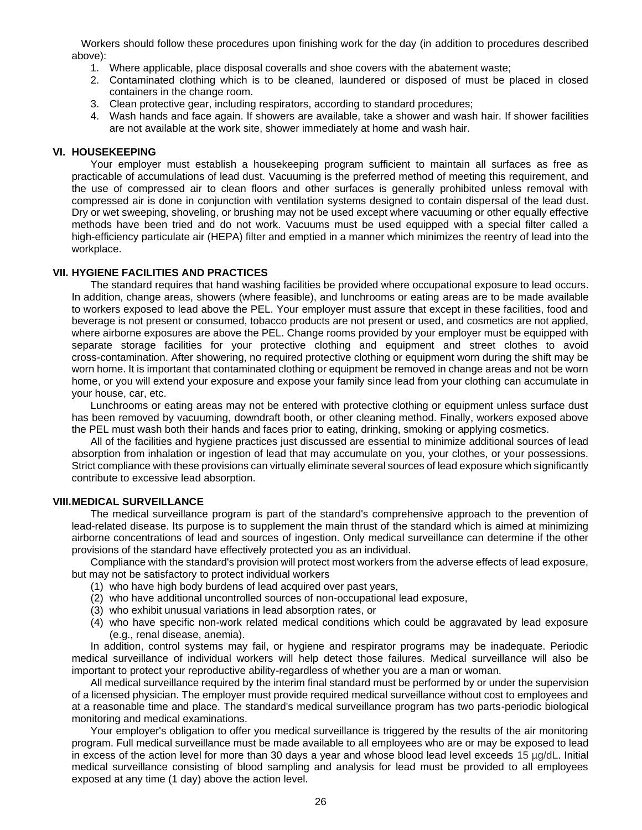Workers should follow these procedures upon finishing work for the day (in addition to procedures described above):

- 1. Where applicable, place disposal coveralls and shoe covers with the abatement waste;
- 2. Contaminated clothing which is to be cleaned, laundered or disposed of must be placed in closed containers in the change room.
- 3. Clean protective gear, including respirators, according to standard procedures;
- 4. Wash hands and face again. If showers are available, take a shower and wash hair. If shower facilities are not available at the work site, shower immediately at home and wash hair.

#### <span id="page-25-0"></span>**VI. HOUSEKEEPING**

Your employer must establish a housekeeping program sufficient to maintain all surfaces as free as practicable of accumulations of lead dust. Vacuuming is the preferred method of meeting this requirement, and the use of compressed air to clean floors and other surfaces is generally prohibited unless removal with compressed air is done in conjunction with ventilation systems designed to contain dispersal of the lead dust. Dry or wet sweeping, shoveling, or brushing may not be used except where vacuuming or other equally effective methods have been tried and do not work. Vacuums must be used equipped with a special filter called a high-efficiency particulate air (HEPA) filter and emptied in a manner which minimizes the reentry of lead into the workplace.

### <span id="page-25-1"></span>**VII. HYGIENE FACILITIES AND PRACTICES**

The standard requires that hand washing facilities be provided where occupational exposure to lead occurs. In addition, change areas, showers (where feasible), and lunchrooms or eating areas are to be made available to workers exposed to lead above the PEL. Your employer must assure that except in these facilities, food and beverage is not present or consumed, tobacco products are not present or used, and cosmetics are not applied, where airborne exposures are above the PEL. Change rooms provided by your employer must be equipped with separate storage facilities for your protective clothing and equipment and street clothes to avoid cross-contamination. After showering, no required protective clothing or equipment worn during the shift may be worn home. It is important that contaminated clothing or equipment be removed in change areas and not be worn home, or you will extend your exposure and expose your family since lead from your clothing can accumulate in your house, car, etc.

Lunchrooms or eating areas may not be entered with protective clothing or equipment unless surface dust has been removed by vacuuming, downdraft booth, or other cleaning method. Finally, workers exposed above the PEL must wash both their hands and faces prior to eating, drinking, smoking or applying cosmetics.

All of the facilities and hygiene practices just discussed are essential to minimize additional sources of lead absorption from inhalation or ingestion of lead that may accumulate on you, your clothes, or your possessions. Strict compliance with these provisions can virtually eliminate several sources of lead exposure which significantly contribute to excessive lead absorption.

### <span id="page-25-2"></span>**VIII.MEDICAL SURVEILLANCE**

The medical surveillance program is part of the standard's comprehensive approach to the prevention of lead-related disease. Its purpose is to supplement the main thrust of the standard which is aimed at minimizing airborne concentrations of lead and sources of ingestion. Only medical surveillance can determine if the other provisions of the standard have effectively protected you as an individual.

Compliance with the standard's provision will protect most workers from the adverse effects of lead exposure, but may not be satisfactory to protect individual workers

- (1) who have high body burdens of lead acquired over past years,
- (2) who have additional uncontrolled sources of non-occupational lead exposure,
- (3) who exhibit unusual variations in lead absorption rates, or
- (4) who have specific non-work related medical conditions which could be aggravated by lead exposure (e.g., renal disease, anemia).

In addition, control systems may fail, or hygiene and respirator programs may be inadequate. Periodic medical surveillance of individual workers will help detect those failures. Medical surveillance will also be important to protect your reproductive ability-regardless of whether you are a man or woman.

All medical surveillance required by the interim final standard must be performed by or under the supervision of a licensed physician. The employer must provide required medical surveillance without cost to employees and at a reasonable time and place. The standard's medical surveillance program has two parts-periodic biological monitoring and medical examinations.

Your employer's obligation to offer you medical surveillance is triggered by the results of the air monitoring program. Full medical surveillance must be made available to all employees who are or may be exposed to lead in excess of the action level for more than 30 days a year and whose blood lead level exceeds 15 µg/dL. Initial medical surveillance consisting of blood sampling and analysis for lead must be provided to all employees exposed at any time (1 day) above the action level.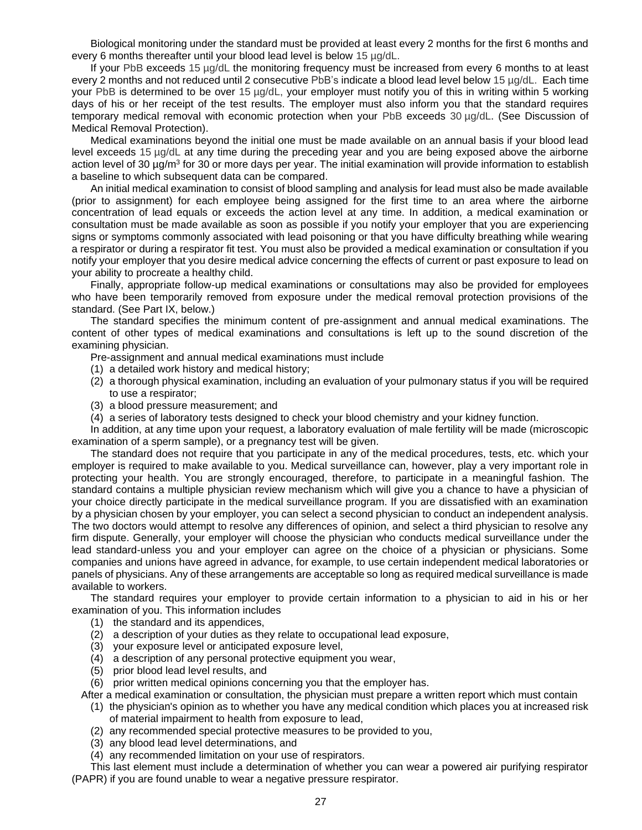Biological monitoring under the standard must be provided at least every 2 months for the first 6 months and every 6 months thereafter until your blood lead level is below 15 µg/dL.

If your PbB exceeds 15 µg/dL the monitoring frequency must be increased from every 6 months to at least every 2 months and not reduced until 2 consecutive PbB's indicate a blood lead level below 15 µg/dL. Each time your PbB is determined to be over 15 µg/dL, your employer must notify you of this in writing within 5 working days of his or her receipt of the test results. The employer must also inform you that the standard requires temporary medical removal with economic protection when your PbB exceeds 30 µg/dL. (See Discussion of Medical Removal Protection).

Medical examinations beyond the initial one must be made available on an annual basis if your blood lead level exceeds 15 µg/dL at any time during the preceding year and you are being exposed above the airborne action level of 30 µg/m<sup>3</sup> for 30 or more days per year. The initial examination will provide information to establish a baseline to which subsequent data can be compared.

An initial medical examination to consist of blood sampling and analysis for lead must also be made available (prior to assignment) for each employee being assigned for the first time to an area where the airborne concentration of lead equals or exceeds the action level at any time. In addition, a medical examination or consultation must be made available as soon as possible if you notify your employer that you are experiencing signs or symptoms commonly associated with lead poisoning or that you have difficulty breathing while wearing a respirator or during a respirator fit test. You must also be provided a medical examination or consultation if you notify your employer that you desire medical advice concerning the effects of current or past exposure to lead on your ability to procreate a healthy child.

Finally, appropriate follow-up medical examinations or consultations may also be provided for employees who have been temporarily removed from exposure under the medical removal protection provisions of the standard. (See Part IX, below.)

The standard specifies the minimum content of pre-assignment and annual medical examinations. The content of other types of medical examinations and consultations is left up to the sound discretion of the examining physician.

Pre-assignment and annual medical examinations must include

- (1) a detailed work history and medical history;
- (2) a thorough physical examination, including an evaluation of your pulmonary status if you will be required to use a respirator;
- (3) a blood pressure measurement; and
- (4) a series of laboratory tests designed to check your blood chemistry and your kidney function.

In addition, at any time upon your request, a laboratory evaluation of male fertility will be made (microscopic examination of a sperm sample), or a pregnancy test will be given.

The standard does not require that you participate in any of the medical procedures, tests, etc. which your employer is required to make available to you. Medical surveillance can, however, play a very important role in protecting your health. You are strongly encouraged, therefore, to participate in a meaningful fashion. The standard contains a multiple physician review mechanism which will give you a chance to have a physician of your choice directly participate in the medical surveillance program. If you are dissatisfied with an examination by a physician chosen by your employer, you can select a second physician to conduct an independent analysis. The two doctors would attempt to resolve any differences of opinion, and select a third physician to resolve any firm dispute. Generally, your employer will choose the physician who conducts medical surveillance under the lead standard-unless you and your employer can agree on the choice of a physician or physicians. Some companies and unions have agreed in advance, for example, to use certain independent medical laboratories or panels of physicians. Any of these arrangements are acceptable so long as required medical surveillance is made available to workers.

The standard requires your employer to provide certain information to a physician to aid in his or her examination of you. This information includes

- (1) the standard and its appendices,
- (2) a description of your duties as they relate to occupational lead exposure,
- (3) your exposure level or anticipated exposure level,
- (4) a description of any personal protective equipment you wear,
- (5) prior blood lead level results, and
- (6) prior written medical opinions concerning you that the employer has.

After a medical examination or consultation, the physician must prepare a written report which must contain

(1) the physician's opinion as to whether you have any medical condition which places you at increased risk of material impairment to health from exposure to lead,

- (2) any recommended special protective measures to be provided to you,
- (3) any blood lead level determinations, and
- (4) any recommended limitation on your use of respirators.

This last element must include a determination of whether you can wear a powered air purifying respirator (PAPR) if you are found unable to wear a negative pressure respirator.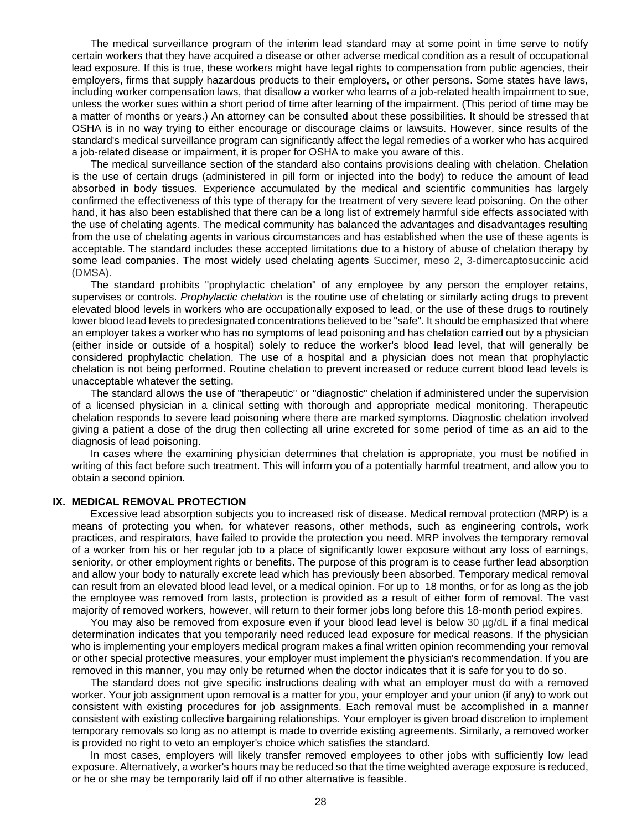The medical surveillance program of the interim lead standard may at some point in time serve to notify certain workers that they have acquired a disease or other adverse medical condition as a result of occupational lead exposure. If this is true, these workers might have legal rights to compensation from public agencies, their employers, firms that supply hazardous products to their employers, or other persons. Some states have laws, including worker compensation laws, that disallow a worker who learns of a job-related health impairment to sue, unless the worker sues within a short period of time after learning of the impairment. (This period of time may be a matter of months or years.) An attorney can be consulted about these possibilities. It should be stressed that OSHA is in no way trying to either encourage or discourage claims or lawsuits. However, since results of the standard's medical surveillance program can significantly affect the legal remedies of a worker who has acquired a job-related disease or impairment, it is proper for OSHA to make you aware of this.

The medical surveillance section of the standard also contains provisions dealing with chelation. Chelation is the use of certain drugs (administered in pill form or injected into the body) to reduce the amount of lead absorbed in body tissues. Experience accumulated by the medical and scientific communities has largely confirmed the effectiveness of this type of therapy for the treatment of very severe lead poisoning. On the other hand, it has also been established that there can be a long list of extremely harmful side effects associated with the use of chelating agents. The medical community has balanced the advantages and disadvantages resulting from the use of chelating agents in various circumstances and has established when the use of these agents is acceptable. The standard includes these accepted limitations due to a history of abuse of chelation therapy by some lead companies. The most widely used chelating agents Succimer, meso 2, 3-dimercaptosuccinic acid (DMSA).

The standard prohibits "prophylactic chelation" of any employee by any person the employer retains, supervises or controls. *Prophylactic chelation* is the routine use of chelating or similarly acting drugs to prevent elevated blood levels in workers who are occupationally exposed to lead, or the use of these drugs to routinely lower blood lead levels to predesignated concentrations believed to be "safe". It should be emphasized that where an employer takes a worker who has no symptoms of lead poisoning and has chelation carried out by a physician (either inside or outside of a hospital) solely to reduce the worker's blood lead level, that will generally be considered prophylactic chelation. The use of a hospital and a physician does not mean that prophylactic chelation is not being performed. Routine chelation to prevent increased or reduce current blood lead levels is unacceptable whatever the setting.

The standard allows the use of "therapeutic" or "diagnostic" chelation if administered under the supervision of a licensed physician in a clinical setting with thorough and appropriate medical monitoring. Therapeutic chelation responds to severe lead poisoning where there are marked symptoms. Diagnostic chelation involved giving a patient a dose of the drug then collecting all urine excreted for some period of time as an aid to the diagnosis of lead poisoning.

In cases where the examining physician determines that chelation is appropriate, you must be notified in writing of this fact before such treatment. This will inform you of a potentially harmful treatment, and allow you to obtain a second opinion.

#### <span id="page-27-0"></span>**IX. MEDICAL REMOVAL PROTECTION**

Excessive lead absorption subjects you to increased risk of disease. Medical removal protection (MRP) is a means of protecting you when, for whatever reasons, other methods, such as engineering controls, work practices, and respirators, have failed to provide the protection you need. MRP involves the temporary removal of a worker from his or her regular job to a place of significantly lower exposure without any loss of earnings, seniority, or other employment rights or benefits. The purpose of this program is to cease further lead absorption and allow your body to naturally excrete lead which has previously been absorbed. Temporary medical removal can result from an elevated blood lead level, or a medical opinion. For up to 18 months, or for as long as the job the employee was removed from lasts, protection is provided as a result of either form of removal. The vast majority of removed workers, however, will return to their former jobs long before this 18-month period expires.

You may also be removed from exposure even if your blood lead level is below 30 µg/dL if a final medical determination indicates that you temporarily need reduced lead exposure for medical reasons. If the physician who is implementing your employers medical program makes a final written opinion recommending your removal or other special protective measures, your employer must implement the physician's recommendation. If you are removed in this manner, you may only be returned when the doctor indicates that it is safe for you to do so.

The standard does not give specific instructions dealing with what an employer must do with a removed worker. Your job assignment upon removal is a matter for you, your employer and your union (if any) to work out consistent with existing procedures for job assignments. Each removal must be accomplished in a manner consistent with existing collective bargaining relationships. Your employer is given broad discretion to implement temporary removals so long as no attempt is made to override existing agreements. Similarly, a removed worker is provided no right to veto an employer's choice which satisfies the standard.

In most cases, employers will likely transfer removed employees to other jobs with sufficiently low lead exposure. Alternatively, a worker's hours may be reduced so that the time weighted average exposure is reduced, or he or she may be temporarily laid off if no other alternative is feasible.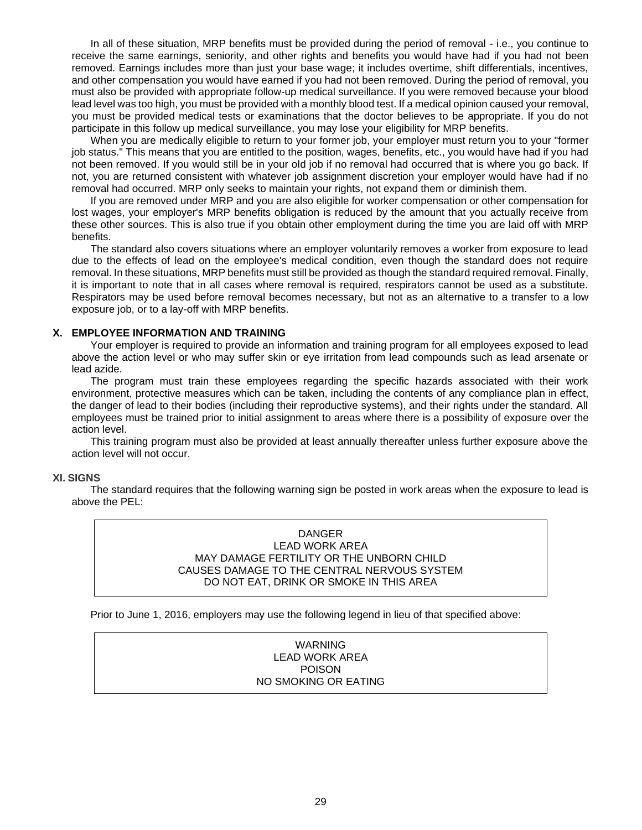In all of these situation, MRP benefits must be provided during the period of removal - i.e., you continue to receive the same earnings, seniority, and other rights and benefits you would have had if you had not been removed. Earnings includes more than just your base wage; it includes overtime, shift differentials, incentives, and other compensation you would have earned if you had not been removed. During the period of removal, you must also be provided with appropriate follow-up medical surveillance. If you were removed because your blood lead level was too high, you must be provided with a monthly blood test. If a medical opinion caused your removal, you must be provided medical tests or examinations that the doctor believes to be appropriate. If you do not participate in this follow up medical surveillance, you may lose your eligibility for MRP benefits.

When you are medically eligible to return to your former job, your employer must return you to your "former job status." This means that you are entitled to the position, wages, benefits, etc., you would have had if you had not been removed. If you would still be in your old job if no removal had occurred that is where you go back. If not, you are returned consistent with whatever job assignment discretion your employer would have had if no removal had occurred. MRP only seeks to maintain your rights, not expand them or diminish them.

If you are removed under MRP and you are also eligible for worker compensation or other compensation for lost wages, your employer's MRP benefits obligation is reduced by the amount that you actually receive from these other sources. This is also true if you obtain other employment during the time you are laid off with MRP benefits.

The standard also covers situations where an employer voluntarily removes a worker from exposure to lead due to the effects of lead on the employee's medical condition, even though the standard does not require removal. In these situations, MRP benefits must still be provided as though the standard required removal. Finally, it is important to note that in all cases where removal is required, respirators cannot be used as a substitute. Respirators may be used before removal becomes necessary, but not as an alternative to a transfer to a low exposure job, or to a lay-off with MRP benefits.

#### <span id="page-28-0"></span>**X. EMPLOYEE INFORMATION AND TRAINING**

Your employer is required to provide an information and training program for all employees exposed to lead above the action level or who may suffer skin or eye irritation from lead compounds such as lead arsenate or lead azide.

The program must train these employees regarding the specific hazards associated with their work environment, protective measures which can be taken, including the contents of any compliance plan in effect, the danger of lead to their bodies (including their reproductive systems), and their rights under the standard. All employees must be trained prior to initial assignment to areas where there is a possibility of exposure over the action level.

This training program must also be provided at least annually thereafter unless further exposure above the action level will not occur.

#### <span id="page-28-1"></span>**XI. SIGNS**

The standard requires that the following warning sign be posted in work areas when the exposure to lead is above the PEL:

# DANGER LEAD WORK AREA MAY DAMAGE FERTILITY OR THE UNBORN CHILD CAUSES DAMAGE TO THE CENTRAL NERVOUS SYSTEM DO NOT EAT, DRINK OR SMOKE IN THIS AREA

Prior to June 1, 2016, employers may use the following legend in lieu of that specified above:

### WARNING LEAD WORK AREA POISON NO SMOKING OR EATING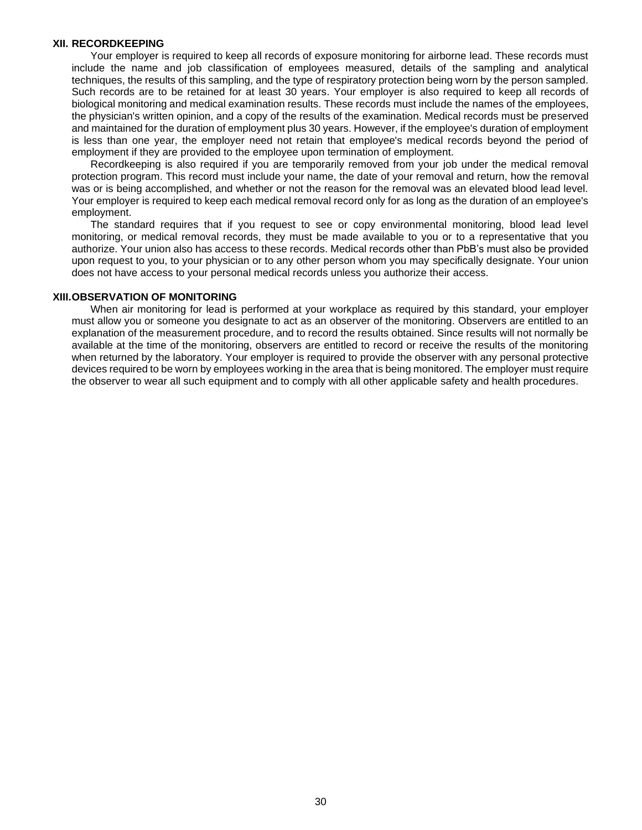#### <span id="page-29-0"></span>**XII. RECORDKEEPING**

Your employer is required to keep all records of exposure monitoring for airborne lead. These records must include the name and job classification of employees measured, details of the sampling and analytical techniques, the results of this sampling, and the type of respiratory protection being worn by the person sampled. Such records are to be retained for at least 30 years. Your employer is also required to keep all records of biological monitoring and medical examination results. These records must include the names of the employees, the physician's written opinion, and a copy of the results of the examination. Medical records must be preserved and maintained for the duration of employment plus 30 years. However, if the employee's duration of employment is less than one year, the employer need not retain that employee's medical records beyond the period of employment if they are provided to the employee upon termination of employment.

Recordkeeping is also required if you are temporarily removed from your job under the medical removal protection program. This record must include your name, the date of your removal and return, how the removal was or is being accomplished, and whether or not the reason for the removal was an elevated blood lead level. Your employer is required to keep each medical removal record only for as long as the duration of an employee's employment.

The standard requires that if you request to see or copy environmental monitoring, blood lead level monitoring, or medical removal records, they must be made available to you or to a representative that you authorize. Your union also has access to these records. Medical records other than PbB's must also be provided upon request to you, to your physician or to any other person whom you may specifically designate. Your union does not have access to your personal medical records unless you authorize their access.

#### <span id="page-29-1"></span>**XIII.OBSERVATION OF MONITORING**

When air monitoring for lead is performed at your workplace as required by this standard, your employer must allow you or someone you designate to act as an observer of the monitoring. Observers are entitled to an explanation of the measurement procedure, and to record the results obtained. Since results will not normally be available at the time of the monitoring, observers are entitled to record or receive the results of the monitoring when returned by the laboratory. Your employer is required to provide the observer with any personal protective devices required to be worn by employees working in the area that is being monitored. The employer must require the observer to wear all such equipment and to comply with all other applicable safety and health procedures.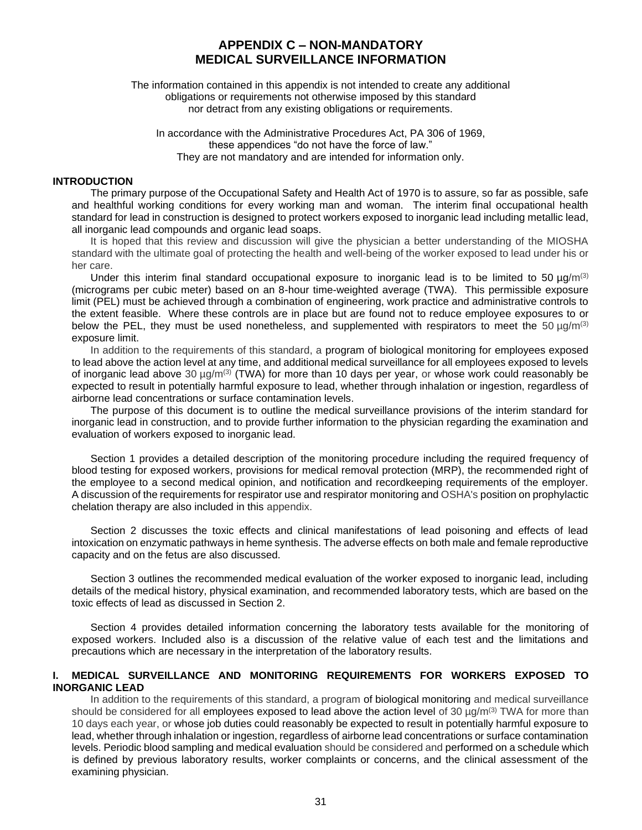# **APPENDIX C – NON-MANDATORY MEDICAL SURVEILLANCE INFORMATION**

<span id="page-30-1"></span><span id="page-30-0"></span>The information contained in this appendix is not intended to create any additional obligations or requirements not otherwise imposed by this standard nor detract from any existing obligations or requirements.

In accordance with the Administrative Procedures Act, PA 306 of 1969, these appendices "do not have the force of law." They are not mandatory and are intended for information only.

#### <span id="page-30-2"></span>**INTRODUCTION**

The primary purpose of the Occupational Safety and Health Act of 1970 is to assure, so far as possible, safe and healthful working conditions for every working man and woman. The interim final occupational health standard for lead in construction is designed to protect workers exposed to inorganic lead including metallic lead, all inorganic lead compounds and organic lead soaps.

It is hoped that this review and discussion will give the physician a better understanding of the MIOSHA standard with the ultimate goal of protecting the health and well-being of the worker exposed to lead under his or her care.

Under this interim final standard occupational exposure to inorganic lead is to be limited to 50  $\mu q/m^{(3)}$ (micrograms per cubic meter) based on an 8-hour time-weighted average (TWA). This permissible exposure limit (PEL) must be achieved through a combination of engineering, work practice and administrative controls to the extent feasible. Where these controls are in place but are found not to reduce employee exposures to or below the PEL, they must be used nonetheless, and supplemented with respirators to meet the 50  $\mu q/m^{(3)}$ exposure limit.

In addition to the requirements of this standard, a program of biological monitoring for employees exposed to lead above the action level at any time, and additional medical surveillance for all employees exposed to levels of inorganic lead above 30  $\mu$ g/m<sup>(3)</sup> (TWA) for more than 10 days per year, or whose work could reasonably be expected to result in potentially harmful exposure to lead, whether through inhalation or ingestion, regardless of airborne lead concentrations or surface contamination levels.

The purpose of this document is to outline the medical surveillance provisions of the interim standard for inorganic lead in construction, and to provide further information to the physician regarding the examination and evaluation of workers exposed to inorganic lead.

Section 1 provides a detailed description of the monitoring procedure including the required frequency of blood testing for exposed workers, provisions for medical removal protection (MRP), the recommended right of the employee to a second medical opinion, and notification and recordkeeping requirements of the employer. A discussion of the requirements for respirator use and respirator monitoring and OSHA's position on prophylactic chelation therapy are also included in this appendix.

Section 2 discusses the toxic effects and clinical manifestations of lead poisoning and effects of lead intoxication on enzymatic pathways in heme synthesis. The adverse effects on both male and female reproductive capacity and on the fetus are also discussed.

Section 3 outlines the recommended medical evaluation of the worker exposed to inorganic lead, including details of the medical history, physical examination, and recommended laboratory tests, which are based on the toxic effects of lead as discussed in Section 2.

Section 4 provides detailed information concerning the laboratory tests available for the monitoring of exposed workers. Included also is a discussion of the relative value of each test and the limitations and precautions which are necessary in the interpretation of the laboratory results.

### <span id="page-30-3"></span>**I. MEDICAL SURVEILLANCE AND MONITORING REQUIREMENTS FOR WORKERS EXPOSED TO INORGANIC LEAD**

In addition to the requirements of this standard, a program of biological monitoring and medical surveillance should be considered for all employees exposed to lead above the action level of 30  $\mu q/m^{(3)}$  TWA for more than 10 days each year, or whose job duties could reasonably be expected to result in potentially harmful exposure to lead, whether through inhalation or ingestion, regardless of airborne lead concentrations or surface contamination levels. Periodic blood sampling and medical evaluation should be considered and performed on a schedule which is defined by previous laboratory results, worker complaints or concerns, and the clinical assessment of the examining physician.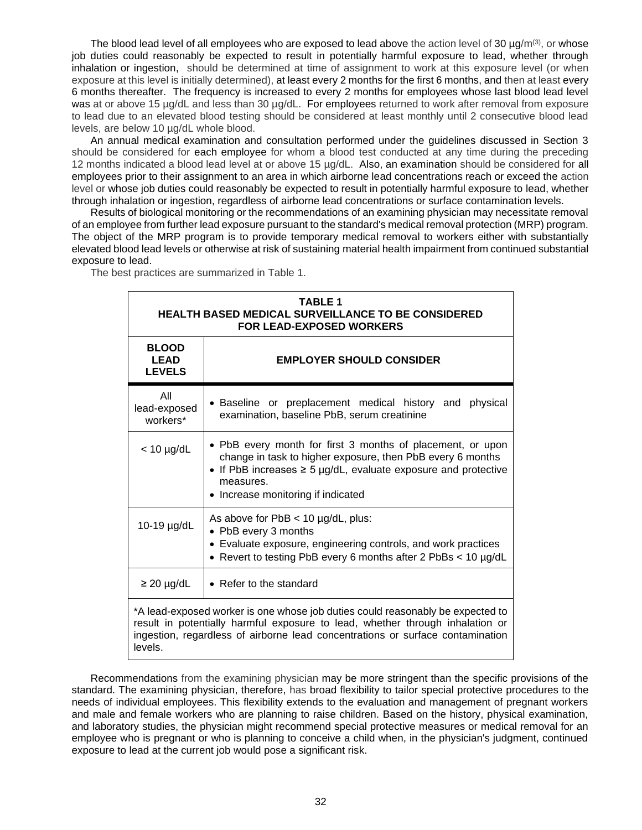The blood lead level of all employees who are exposed to lead above the action level of 30  $\mu q/m^{(3)}$ , or whose job duties could reasonably be expected to result in potentially harmful exposure to lead, whether through inhalation or ingestion, should be determined at time of assignment to work at this exposure level (or when exposure at this level is initially determined), at least every 2 months for the first 6 months, and then at least every 6 months thereafter. The frequency is increased to every 2 months for employees whose last blood lead level was at or above 15 µg/dL and less than 30 µg/dL. For employees returned to work after removal from exposure to lead due to an elevated blood testing should be considered at least monthly until 2 consecutive blood lead levels, are below 10 µg/dL whole blood.

An annual medical examination and consultation performed under the guidelines discussed in Section 3 should be considered for each employee for whom a blood test conducted at any time during the preceding 12 months indicated a blood lead level at or above 15 µg/dL. Also, an examination should be considered for all employees prior to their assignment to an area in which airborne lead concentrations reach or exceed the action level or whose job duties could reasonably be expected to result in potentially harmful exposure to lead, whether through inhalation or ingestion, regardless of airborne lead concentrations or surface contamination levels.

Results of biological monitoring or the recommendations of an examining physician may necessitate removal of an employee from further lead exposure pursuant to the standard's medical removal protection (MRP) program. The object of the MRP program is to provide temporary medical removal to workers either with substantially elevated blood lead levels or otherwise at risk of sustaining material health impairment from continued substantial exposure to lead.

The best practices are summarized in Table 1.

| <b>TABLE 1</b><br><b>HEALTH BASED MEDICAL SURVEILLANCE TO BE CONSIDERED</b><br><b>FOR LEAD-EXPOSED WORKERS</b>                                                                                                                                               |                                                                                                                                                                                                                                                    |
|--------------------------------------------------------------------------------------------------------------------------------------------------------------------------------------------------------------------------------------------------------------|----------------------------------------------------------------------------------------------------------------------------------------------------------------------------------------------------------------------------------------------------|
| <b>BLOOD</b><br><b>LEAD</b><br><b>LEVELS</b>                                                                                                                                                                                                                 | <b>EMPLOYER SHOULD CONSIDER</b>                                                                                                                                                                                                                    |
| All<br>lead-exposed<br>workers*                                                                                                                                                                                                                              | • Baseline or preplacement medical history and physical<br>examination, baseline PbB, serum creatinine                                                                                                                                             |
| $<$ 10 µg/dL                                                                                                                                                                                                                                                 | • PbB every month for first 3 months of placement, or upon<br>change in task to higher exposure, then PbB every 6 months<br>• If PbB increases $\geq$ 5 µg/dL, evaluate exposure and protective<br>measures.<br>• Increase monitoring if indicated |
| 10-19 µg/dL                                                                                                                                                                                                                                                  | As above for $PbB < 10 \mu g/dL$ , plus:<br>• PbB every 3 months<br>• Evaluate exposure, engineering controls, and work practices<br>• Revert to testing PbB every 6 months after 2 PbBs $<$ 10 $\mu$ g/dL                                         |
| $\geq$ 20 µg/dL                                                                                                                                                                                                                                              | • Refer to the standard                                                                                                                                                                                                                            |
| *A lead-exposed worker is one whose job duties could reasonably be expected to<br>result in potentially harmful exposure to lead, whether through inhalation or<br>ingestion, regardless of airborne lead concentrations or surface contamination<br>levels. |                                                                                                                                                                                                                                                    |

Recommendations from the examining physician may be more stringent than the specific provisions of the standard. The examining physician, therefore, has broad flexibility to tailor special protective procedures to the needs of individual employees. This flexibility extends to the evaluation and management of pregnant workers and male and female workers who are planning to raise children. Based on the history, physical examination, and laboratory studies, the physician might recommend special protective measures or medical removal for an employee who is pregnant or who is planning to conceive a child when, in the physician's judgment, continued exposure to lead at the current job would pose a significant risk.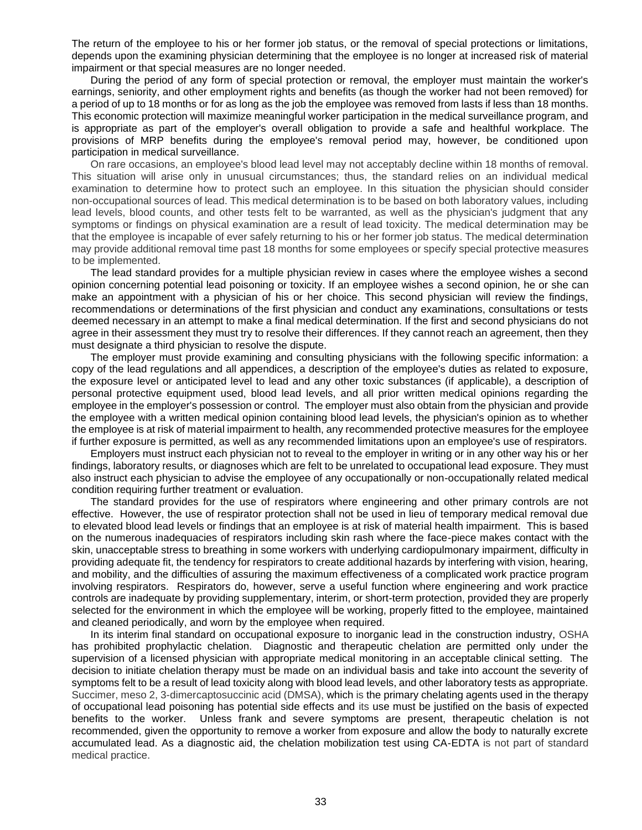The return of the employee to his or her former job status, or the removal of special protections or limitations, depends upon the examining physician determining that the employee is no longer at increased risk of material impairment or that special measures are no longer needed.

During the period of any form of special protection or removal, the employer must maintain the worker's earnings, seniority, and other employment rights and benefits (as though the worker had not been removed) for a period of up to 18 months or for as long as the job the employee was removed from lasts if less than 18 months. This economic protection will maximize meaningful worker participation in the medical surveillance program, and is appropriate as part of the employer's overall obligation to provide a safe and healthful workplace. The provisions of MRP benefits during the employee's removal period may, however, be conditioned upon participation in medical surveillance.

On rare occasions, an employee's blood lead level may not acceptably decline within 18 months of removal. This situation will arise only in unusual circumstances; thus, the standard relies on an individual medical examination to determine how to protect such an employee. In this situation the physician should consider non-occupational sources of lead. This medical determination is to be based on both laboratory values, including lead levels, blood counts, and other tests felt to be warranted, as well as the physician's judgment that any symptoms or findings on physical examination are a result of lead toxicity. The medical determination may be that the employee is incapable of ever safely returning to his or her former job status. The medical determination may provide additional removal time past 18 months for some employees or specify special protective measures to be implemented.

The lead standard provides for a multiple physician review in cases where the employee wishes a second opinion concerning potential lead poisoning or toxicity. If an employee wishes a second opinion, he or she can make an appointment with a physician of his or her choice. This second physician will review the findings, recommendations or determinations of the first physician and conduct any examinations, consultations or tests deemed necessary in an attempt to make a final medical determination. If the first and second physicians do not agree in their assessment they must try to resolve their differences. If they cannot reach an agreement, then they must designate a third physician to resolve the dispute.

The employer must provide examining and consulting physicians with the following specific information: a copy of the lead regulations and all appendices, a description of the employee's duties as related to exposure, the exposure level or anticipated level to lead and any other toxic substances (if applicable), a description of personal protective equipment used, blood lead levels, and all prior written medical opinions regarding the employee in the employer's possession or control. The employer must also obtain from the physician and provide the employee with a written medical opinion containing blood lead levels, the physician's opinion as to whether the employee is at risk of material impairment to health, any recommended protective measures for the employee if further exposure is permitted, as well as any recommended limitations upon an employee's use of respirators.

Employers must instruct each physician not to reveal to the employer in writing or in any other way his or her findings, laboratory results, or diagnoses which are felt to be unrelated to occupational lead exposure. They must also instruct each physician to advise the employee of any occupationally or non-occupationally related medical condition requiring further treatment or evaluation.

The standard provides for the use of respirators where engineering and other primary controls are not effective. However, the use of respirator protection shall not be used in lieu of temporary medical removal due to elevated blood lead levels or findings that an employee is at risk of material health impairment. This is based on the numerous inadequacies of respirators including skin rash where the face-piece makes contact with the skin, unacceptable stress to breathing in some workers with underlying cardiopulmonary impairment, difficulty in providing adequate fit, the tendency for respirators to create additional hazards by interfering with vision, hearing, and mobility, and the difficulties of assuring the maximum effectiveness of a complicated work practice program involving respirators. Respirators do, however, serve a useful function where engineering and work practice controls are inadequate by providing supplementary, interim, or short-term protection, provided they are properly selected for the environment in which the employee will be working, properly fitted to the employee, maintained and cleaned periodically, and worn by the employee when required.

In its interim final standard on occupational exposure to inorganic lead in the construction industry, OSHA has prohibited prophylactic chelation. Diagnostic and therapeutic chelation are permitted only under the supervision of a licensed physician with appropriate medical monitoring in an acceptable clinical setting. The decision to initiate chelation therapy must be made on an individual basis and take into account the severity of symptoms felt to be a result of lead toxicity along with blood lead levels, and other laboratory tests as appropriate. Succimer, meso 2, 3-dimercaptosuccinic acid (DMSA), which is the primary chelating agents used in the therapy of occupational lead poisoning has potential side effects and its use must be justified on the basis of expected benefits to the worker. Unless frank and severe symptoms are present, therapeutic chelation is not recommended, given the opportunity to remove a worker from exposure and allow the body to naturally excrete accumulated lead. As a diagnostic aid, the chelation mobilization test using CA-EDTA is not part of standard medical practice.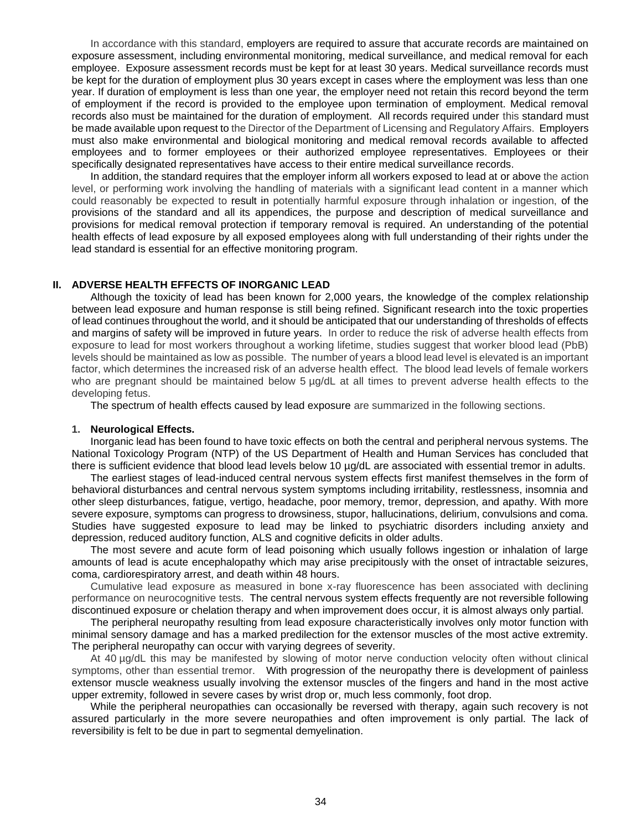In accordance with this standard, employers are required to assure that accurate records are maintained on exposure assessment, including environmental monitoring, medical surveillance, and medical removal for each employee. Exposure assessment records must be kept for at least 30 years. Medical surveillance records must be kept for the duration of employment plus 30 years except in cases where the employment was less than one year. If duration of employment is less than one year, the employer need not retain this record beyond the term of employment if the record is provided to the employee upon termination of employment. Medical removal records also must be maintained for the duration of employment. All records required under this standard must be made available upon request to the Director of the Department of Licensing and Regulatory Affairs. Employers must also make environmental and biological monitoring and medical removal records available to affected employees and to former employees or their authorized employee representatives. Employees or their specifically designated representatives have access to their entire medical surveillance records.

In addition, the standard requires that the employer inform all workers exposed to lead at or above the action level, or performing work involving the handling of materials with a significant lead content in a manner which could reasonably be expected to result in potentially harmful exposure through inhalation or ingestion, of the provisions of the standard and all its appendices, the purpose and description of medical surveillance and provisions for medical removal protection if temporary removal is required. An understanding of the potential health effects of lead exposure by all exposed employees along with full understanding of their rights under the lead standard is essential for an effective monitoring program.

#### <span id="page-33-0"></span>**II. ADVERSE HEALTH EFFECTS OF INORGANIC LEAD**

Although the toxicity of lead has been known for 2,000 years, the knowledge of the complex relationship between lead exposure and human response is still being refined. Significant research into the toxic properties of lead continues throughout the world, and it should be anticipated that our understanding of thresholds of effects and margins of safety will be improved in future years. In order to reduce the risk of adverse health effects from exposure to lead for most workers throughout a working lifetime, studies suggest that worker blood lead (PbB) levels should be maintained as low as possible. The number of years a blood lead level is elevated is an important factor, which determines the increased risk of an adverse health effect. The blood lead levels of female workers who are pregnant should be maintained below 5  $\mu$ g/dL at all times to prevent adverse health effects to the developing fetus.

The spectrum of health effects caused by lead exposure are summarized in the following sections.

#### <span id="page-33-1"></span>**1. Neurological Effects.**

Inorganic lead has been found to have toxic effects on both the central and peripheral nervous systems. The National Toxicology Program (NTP) of the US Department of Health and Human Services has concluded that there is sufficient evidence that blood lead levels below 10 µg/dL are associated with essential tremor in adults.

The earliest stages of lead-induced central nervous system effects first manifest themselves in the form of behavioral disturbances and central nervous system symptoms including irritability, restlessness, insomnia and other sleep disturbances, fatigue, vertigo, headache, poor memory, tremor, depression, and apathy. With more severe exposure, symptoms can progress to drowsiness, stupor, hallucinations, delirium, convulsions and coma. Studies have suggested exposure to lead may be linked to psychiatric disorders including anxiety and depression, reduced auditory function, ALS and cognitive deficits in older adults.

The most severe and acute form of lead poisoning which usually follows ingestion or inhalation of large amounts of lead is acute encephalopathy which may arise precipitously with the onset of intractable seizures, coma, cardiorespiratory arrest, and death within 48 hours.

Cumulative lead exposure as measured in bone x-ray fluorescence has been associated with declining performance on neurocognitive tests. The central nervous system effects frequently are not reversible following discontinued exposure or chelation therapy and when improvement does occur, it is almost always only partial.

The peripheral neuropathy resulting from lead exposure characteristically involves only motor function with minimal sensory damage and has a marked predilection for the extensor muscles of the most active extremity. The peripheral neuropathy can occur with varying degrees of severity.

At 40 µg/dL this may be manifested by slowing of motor nerve conduction velocity often without clinical symptoms, other than essential tremor. With progression of the neuropathy there is development of painless extensor muscle weakness usually involving the extensor muscles of the fingers and hand in the most active upper extremity, followed in severe cases by wrist drop or, much less commonly, foot drop.

While the peripheral neuropathies can occasionally be reversed with therapy, again such recovery is not assured particularly in the more severe neuropathies and often improvement is only partial. The lack of reversibility is felt to be due in part to segmental demyelination.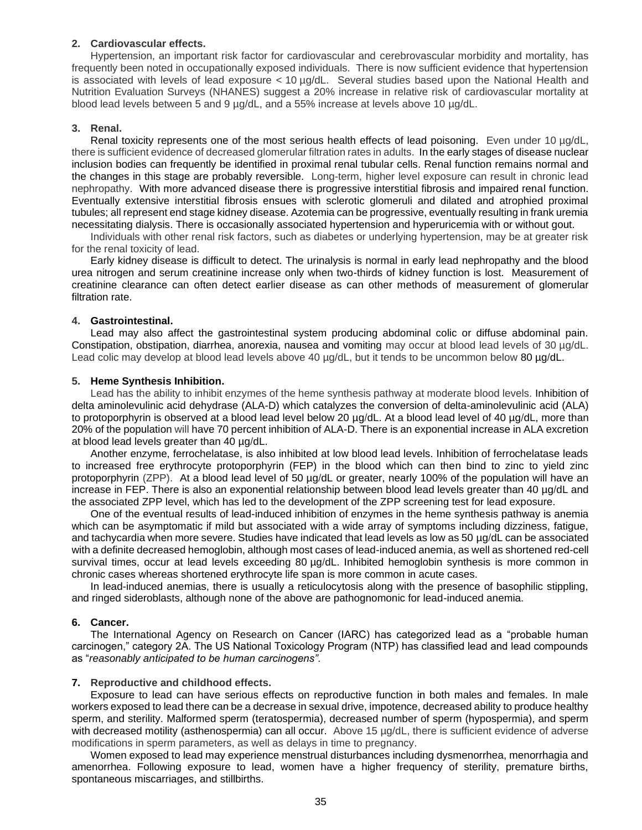#### <span id="page-34-0"></span>**2. Cardiovascular effects.**

Hypertension, an important risk factor for cardiovascular and cerebrovascular morbidity and mortality, has frequently been noted in occupationally exposed individuals. There is now sufficient evidence that hypertension is associated with levels of lead exposure < 10 µg/dL. Several studies based upon the National Health and Nutrition Evaluation Surveys (NHANES) suggest a 20% increase in relative risk of cardiovascular mortality at blood lead levels between 5 and 9 µg/dL, and a 55% increase at levels above 10 µg/dL.

#### <span id="page-34-1"></span>**3. Renal.**

Renal toxicity represents one of the most serious health effects of lead poisoning. Even under 10 µg/dL, there is sufficient evidence of decreased glomerular filtration rates in adults. In the early stages of disease nuclear inclusion bodies can frequently be identified in proximal renal tubular cells. Renal function remains normal and the changes in this stage are probably reversible. Long-term, higher level exposure can result in chronic lead nephropathy. With more advanced disease there is progressive interstitial fibrosis and impaired renal function. Eventually extensive interstitial fibrosis ensues with sclerotic glomeruli and dilated and atrophied proximal tubules; all represent end stage kidney disease. Azotemia can be progressive, eventually resulting in frank uremia necessitating dialysis. There is occasionally associated hypertension and hyperuricemia with or without gout.

Individuals with other renal risk factors, such as diabetes or underlying hypertension, may be at greater risk for the renal toxicity of lead.

Early kidney disease is difficult to detect. The urinalysis is normal in early lead nephropathy and the blood urea nitrogen and serum creatinine increase only when two-thirds of kidney function is lost. Measurement of creatinine clearance can often detect earlier disease as can other methods of measurement of glomerular filtration rate.

#### <span id="page-34-2"></span>**4. Gastrointestinal.**

Lead may also affect the gastrointestinal system producing abdominal colic or diffuse abdominal pain. Constipation, obstipation, diarrhea, anorexia, nausea and vomiting may occur at blood lead levels of 30 µg/dL. Lead colic may develop at blood lead levels above 40 µg/dL, but it tends to be uncommon below 80 µg/dL.

#### <span id="page-34-3"></span>**5. Heme Synthesis Inhibition.**

Lead has the ability to inhibit enzymes of the heme synthesis pathway at moderate blood levels. Inhibition of delta aminolevulinic acid dehydrase (ALA-D) which catalyzes the conversion of delta-aminolevulinic acid (ALA) to protoporphyrin is observed at a blood lead level below 20 µg/dL. At a blood lead level of 40 µg/dL, more than 20% of the population will have 70 percent inhibition of ALA-D. There is an exponential increase in ALA excretion at blood lead levels greater than 40 µg/dL.

Another enzyme, ferrochelatase, is also inhibited at low blood lead levels. Inhibition of ferrochelatase leads to increased free erythrocyte protoporphyrin (FEP) in the blood which can then bind to zinc to yield zinc protoporphyrin (ZPP). At a blood lead level of 50 µg/dL or greater, nearly 100% of the population will have an increase in FEP. There is also an exponential relationship between blood lead levels greater than 40 µg/dL and the associated ZPP level, which has led to the development of the ZPP screening test for lead exposure.

One of the eventual results of lead-induced inhibition of enzymes in the heme synthesis pathway is anemia which can be asymptomatic if mild but associated with a wide array of symptoms including dizziness, fatigue, and tachycardia when more severe. Studies have indicated that lead levels as low as 50 µg/dL can be associated with a definite decreased hemoglobin, although most cases of lead-induced anemia, as well as shortened red-cell survival times, occur at lead levels exceeding 80 µg/dL. Inhibited hemoglobin synthesis is more common in chronic cases whereas shortened erythrocyte life span is more common in acute cases.

In lead-induced anemias, there is usually a reticulocytosis along with the presence of basophilic stippling, and ringed sideroblasts, although none of the above are pathognomonic for lead-induced anemia.

### <span id="page-34-4"></span>**6. Cancer.**

The International Agency on Research on Cancer (IARC) has categorized lead as a "probable human carcinogen," category 2A. The US National Toxicology Program (NTP) has classified lead and lead compounds as "*reasonably anticipated to be human carcinogens".*

### <span id="page-34-5"></span>**7. Reproductive and childhood effects.**

Exposure to lead can have serious effects on reproductive function in both males and females. In male workers exposed to lead there can be a decrease in sexual drive, impotence, decreased ability to produce healthy sperm, and sterility. Malformed sperm (teratospermia), decreased number of sperm (hypospermia), and sperm with decreased motility (asthenospermia) can all occur. Above 15 µg/dL, there is sufficient evidence of adverse modifications in sperm parameters, as well as delays in time to pregnancy.

Women exposed to lead may experience menstrual disturbances including dysmenorrhea, menorrhagia and amenorrhea. Following exposure to lead, women have a higher frequency of sterility, premature births, spontaneous miscarriages, and stillbirths.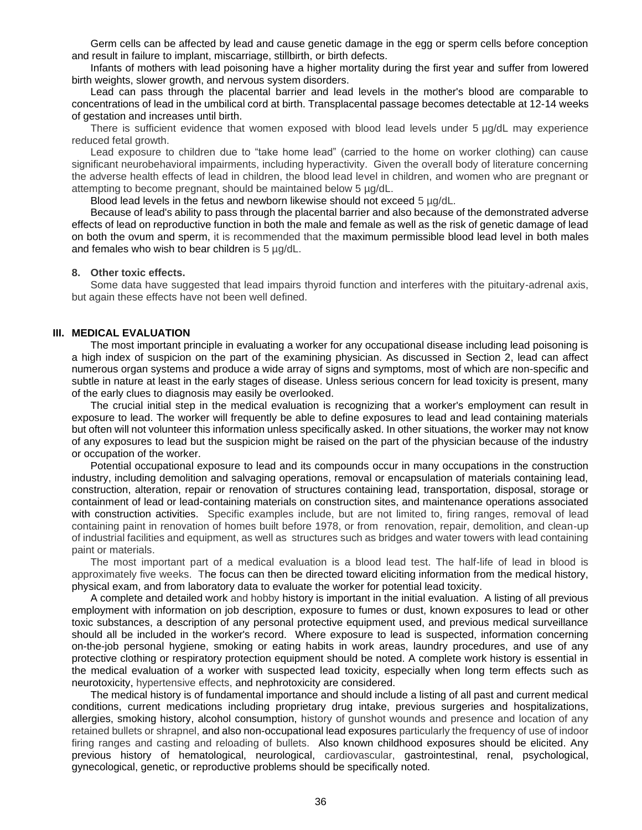Germ cells can be affected by lead and cause genetic damage in the egg or sperm cells before conception and result in failure to implant, miscarriage, stillbirth, or birth defects.

Infants of mothers with lead poisoning have a higher mortality during the first year and suffer from lowered birth weights, slower growth, and nervous system disorders.

Lead can pass through the placental barrier and lead levels in the mother's blood are comparable to concentrations of lead in the umbilical cord at birth. Transplacental passage becomes detectable at 12-14 weeks of gestation and increases until birth.

There is sufficient evidence that women exposed with blood lead levels under 5  $\mu$ g/dL may experience reduced fetal growth.

Lead exposure to children due to "take home lead" (carried to the home on worker clothing) can cause significant neurobehavioral impairments, including hyperactivity. Given the overall body of literature concerning the adverse health effects of lead in children, the blood lead level in children, and women who are pregnant or attempting to become pregnant, should be maintained below 5 µg/dL.

Blood lead levels in the fetus and newborn likewise should not exceed 5 µg/dL.

Because of lead's ability to pass through the placental barrier and also because of the demonstrated adverse effects of lead on reproductive function in both the male and female as well as the risk of genetic damage of lead on both the ovum and sperm, it is recommended that the maximum permissible blood lead level in both males and females who wish to bear children is 5 µg/dL.

#### <span id="page-35-0"></span>**8. Other toxic effects.**

Some data have suggested that lead impairs thyroid function and interferes with the pituitary-adrenal axis, but again these effects have not been well defined.

#### <span id="page-35-1"></span>**III. MEDICAL EVALUATION**

The most important principle in evaluating a worker for any occupational disease including lead poisoning is a high index of suspicion on the part of the examining physician. As discussed in Section 2, lead can affect numerous organ systems and produce a wide array of signs and symptoms, most of which are non-specific and subtle in nature at least in the early stages of disease. Unless serious concern for lead toxicity is present, many of the early clues to diagnosis may easily be overlooked.

The crucial initial step in the medical evaluation is recognizing that a worker's employment can result in exposure to lead. The worker will frequently be able to define exposures to lead and lead containing materials but often will not volunteer this information unless specifically asked. In other situations, the worker may not know of any exposures to lead but the suspicion might be raised on the part of the physician because of the industry or occupation of the worker.

Potential occupational exposure to lead and its compounds occur in many occupations in the construction industry, including demolition and salvaging operations, removal or encapsulation of materials containing lead, construction, alteration, repair or renovation of structures containing lead, transportation, disposal, storage or containment of lead or lead-containing materials on construction sites, and maintenance operations associated with construction activities. Specific examples include, but are not limited to, firing ranges, removal of lead containing paint in renovation of homes built before 1978, or from renovation, repair, demolition, and clean-up of industrial facilities and equipment, as well as structures such as bridges and water towers with lead containing paint or materials.

The most important part of a medical evaluation is a blood lead test. The half-life of lead in blood is approximately five weeks. The focus can then be directed toward eliciting information from the medical history, physical exam, and from laboratory data to evaluate the worker for potential lead toxicity.

A complete and detailed work and hobby history is important in the initial evaluation. A listing of all previous employment with information on job description, exposure to fumes or dust, known exposures to lead or other toxic substances, a description of any personal protective equipment used, and previous medical surveillance should all be included in the worker's record. Where exposure to lead is suspected, information concerning on-the-job personal hygiene, smoking or eating habits in work areas, laundry procedures, and use of any protective clothing or respiratory protection equipment should be noted. A complete work history is essential in the medical evaluation of a worker with suspected lead toxicity, especially when long term effects such as neurotoxicity, hypertensive effects, and nephrotoxicity are considered.

The medical history is of fundamental importance and should include a listing of all past and current medical conditions, current medications including proprietary drug intake, previous surgeries and hospitalizations, allergies, smoking history, alcohol consumption, history of gunshot wounds and presence and location of any retained bullets or shrapnel, and also non-occupational lead exposures particularly the frequency of use of indoor firing ranges and casting and reloading of bullets. Also known childhood exposures should be elicited. Any previous history of hematological, neurological, cardiovascular, gastrointestinal, renal, psychological, gynecological, genetic, or reproductive problems should be specifically noted.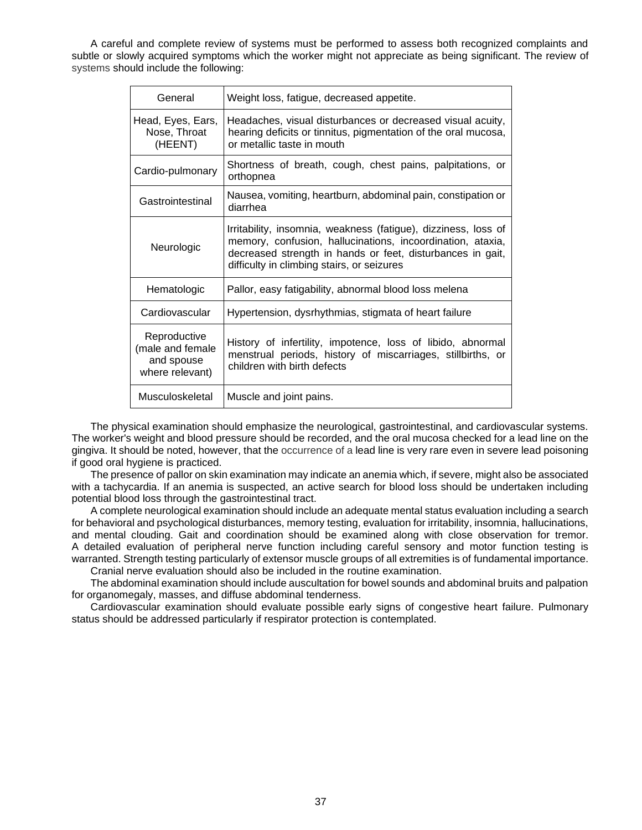A careful and complete review of systems must be performed to assess both recognized complaints and subtle or slowly acquired symptoms which the worker might not appreciate as being significant. The review of systems should include the following:

| General                                                           | Weight loss, fatigue, decreased appetite.                                                                                                                                                                                                |
|-------------------------------------------------------------------|------------------------------------------------------------------------------------------------------------------------------------------------------------------------------------------------------------------------------------------|
| Head, Eyes, Ears,<br>Nose, Throat<br>(HEENT)                      | Headaches, visual disturbances or decreased visual acuity,<br>hearing deficits or tinnitus, pigmentation of the oral mucosa,<br>or metallic taste in mouth                                                                               |
| Cardio-pulmonary                                                  | Shortness of breath, cough, chest pains, palpitations, or<br>orthopnea                                                                                                                                                                   |
| Gastrointestinal                                                  | Nausea, vomiting, heartburn, abdominal pain, constipation or<br>diarrhea                                                                                                                                                                 |
| Neurologic                                                        | Irritability, insomnia, weakness (fatigue), dizziness, loss of<br>memory, confusion, hallucinations, incoordination, ataxia,<br>decreased strength in hands or feet, disturbances in gait,<br>difficulty in climbing stairs, or seizures |
| Hematologic                                                       | Pallor, easy fatigability, abnormal blood loss melena                                                                                                                                                                                    |
| Cardiovascular                                                    | Hypertension, dysrhythmias, stigmata of heart failure                                                                                                                                                                                    |
| Reproductive<br>(male and female<br>and spouse<br>where relevant) | History of infertility, impotence, loss of libido, abnormal<br>menstrual periods, history of miscarriages, stillbirths, or<br>children with birth defects                                                                                |
| Musculoskeletal                                                   | Muscle and joint pains.                                                                                                                                                                                                                  |

The physical examination should emphasize the neurological, gastrointestinal, and cardiovascular systems. The worker's weight and blood pressure should be recorded, and the oral mucosa checked for a lead line on the gingiva. It should be noted, however, that the occurrence of a lead line is very rare even in severe lead poisoning if good oral hygiene is practiced.

The presence of pallor on skin examination may indicate an anemia which, if severe, might also be associated with a tachycardia. If an anemia is suspected, an active search for blood loss should be undertaken including potential blood loss through the gastrointestinal tract.

A complete neurological examination should include an adequate mental status evaluation including a search for behavioral and psychological disturbances, memory testing, evaluation for irritability, insomnia, hallucinations, and mental clouding. Gait and coordination should be examined along with close observation for tremor. A detailed evaluation of peripheral nerve function including careful sensory and motor function testing is warranted. Strength testing particularly of extensor muscle groups of all extremities is of fundamental importance.

Cranial nerve evaluation should also be included in the routine examination.

The abdominal examination should include auscultation for bowel sounds and abdominal bruits and palpation for organomegaly, masses, and diffuse abdominal tenderness.

Cardiovascular examination should evaluate possible early signs of congestive heart failure. Pulmonary status should be addressed particularly if respirator protection is contemplated.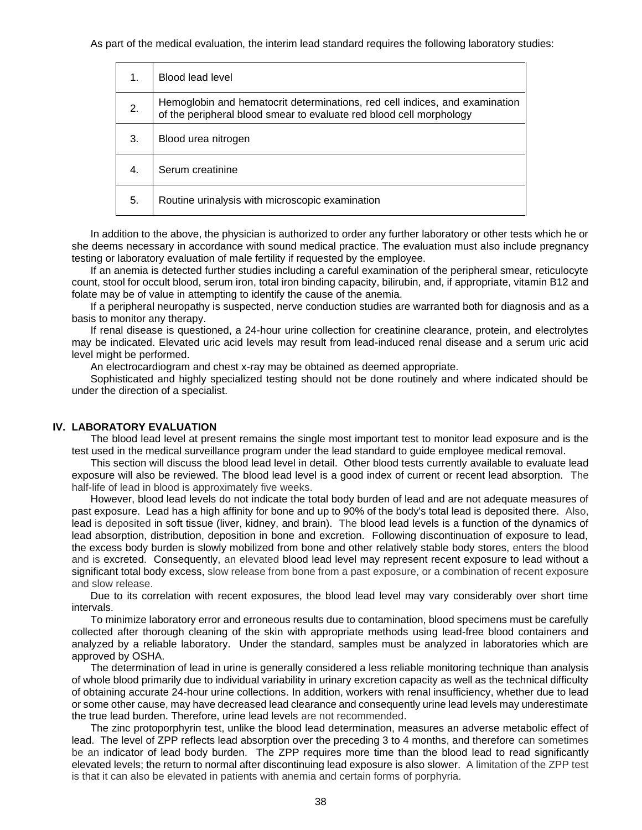As part of the medical evaluation, the interim lead standard requires the following laboratory studies:

|    | Blood lead level                                                                                                                                   |
|----|----------------------------------------------------------------------------------------------------------------------------------------------------|
| 2. | Hemoglobin and hematocrit determinations, red cell indices, and examination<br>of the peripheral blood smear to evaluate red blood cell morphology |
| 3. | Blood urea nitrogen                                                                                                                                |
| 4. | Serum creatinine                                                                                                                                   |
| 5. | Routine urinalysis with microscopic examination                                                                                                    |

In addition to the above, the physician is authorized to order any further laboratory or other tests which he or she deems necessary in accordance with sound medical practice. The evaluation must also include pregnancy testing or laboratory evaluation of male fertility if requested by the employee.

If an anemia is detected further studies including a careful examination of the peripheral smear, reticulocyte count, stool for occult blood, serum iron, total iron binding capacity, bilirubin, and, if appropriate, vitamin B12 and folate may be of value in attempting to identify the cause of the anemia.

If a peripheral neuropathy is suspected, nerve conduction studies are warranted both for diagnosis and as a basis to monitor any therapy.

If renal disease is questioned, a 24-hour urine collection for creatinine clearance, protein, and electrolytes may be indicated. Elevated uric acid levels may result from lead-induced renal disease and a serum uric acid level might be performed.

An electrocardiogram and chest x-ray may be obtained as deemed appropriate.

Sophisticated and highly specialized testing should not be done routinely and where indicated should be under the direction of a specialist.

### <span id="page-37-0"></span>**IV. LABORATORY EVALUATION**

The blood lead level at present remains the single most important test to monitor lead exposure and is the test used in the medical surveillance program under the lead standard to guide employee medical removal.

This section will discuss the blood lead level in detail. Other blood tests currently available to evaluate lead exposure will also be reviewed. The blood lead level is a good index of current or recent lead absorption. The half-life of lead in blood is approximately five weeks.

However, blood lead levels do not indicate the total body burden of lead and are not adequate measures of past exposure. Lead has a high affinity for bone and up to 90% of the body's total lead is deposited there. Also, lead is deposited in soft tissue (liver, kidney, and brain). The blood lead levels is a function of the dynamics of lead absorption, distribution, deposition in bone and excretion. Following discontinuation of exposure to lead, the excess body burden is slowly mobilized from bone and other relatively stable body stores, enters the blood and is excreted. Consequently, an elevated blood lead level may represent recent exposure to lead without a significant total body excess, slow release from bone from a past exposure, or a combination of recent exposure and slow release.

Due to its correlation with recent exposures, the blood lead level may vary considerably over short time intervals.

To minimize laboratory error and erroneous results due to contamination, blood specimens must be carefully collected after thorough cleaning of the skin with appropriate methods using lead-free blood containers and analyzed by a reliable laboratory. Under the standard, samples must be analyzed in laboratories which are approved by OSHA.

The determination of lead in urine is generally considered a less reliable monitoring technique than analysis of whole blood primarily due to individual variability in urinary excretion capacity as well as the technical difficulty of obtaining accurate 24-hour urine collections. In addition, workers with renal insufficiency, whether due to lead or some other cause, may have decreased lead clearance and consequently urine lead levels may underestimate the true lead burden. Therefore, urine lead levels are not recommended.

The zinc protoporphyrin test, unlike the blood lead determination, measures an adverse metabolic effect of lead. The level of ZPP reflects lead absorption over the preceding 3 to 4 months, and therefore can sometimes be an indicator of lead body burden. The ZPP requires more time than the blood lead to read significantly elevated levels; the return to normal after discontinuing lead exposure is also slower. A limitation of the ZPP test is that it can also be elevated in patients with anemia and certain forms of porphyria.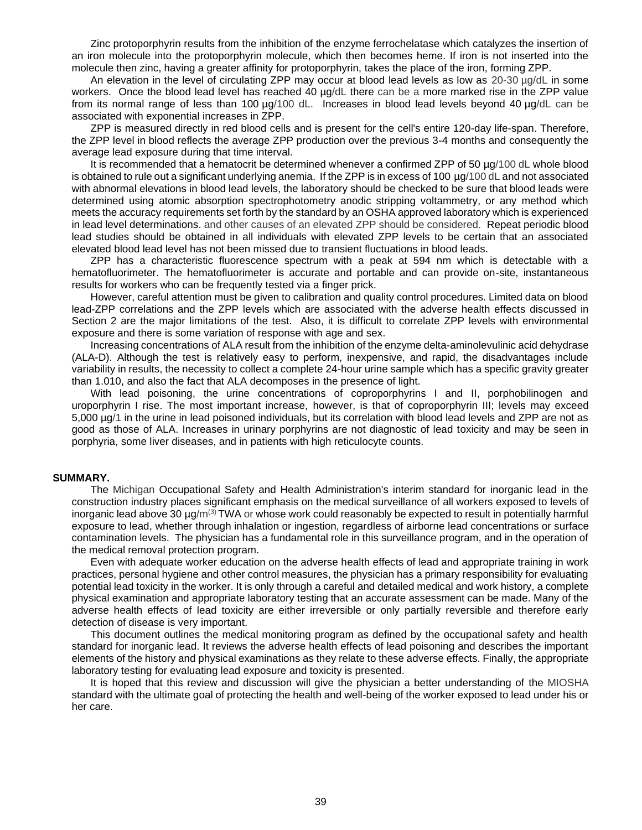Zinc protoporphyrin results from the inhibition of the enzyme ferrochelatase which catalyzes the insertion of an iron molecule into the protoporphyrin molecule, which then becomes heme. If iron is not inserted into the molecule then zinc, having a greater affinity for protoporphyrin, takes the place of the iron, forming ZPP.

An elevation in the level of circulating ZPP may occur at blood lead levels as low as 20-30 µg/dL in some workers. Once the blood lead level has reached 40 µg/dL there can be a more marked rise in the ZPP value from its normal range of less than 100 µg/100 dL. Increases in blood lead levels beyond 40 µg/dL can be associated with exponential increases in ZPP.

ZPP is measured directly in red blood cells and is present for the cell's entire 120-day life-span. Therefore, the ZPP level in blood reflects the average ZPP production over the previous 3-4 months and consequently the average lead exposure during that time interval.

It is recommended that a hematocrit be determined whenever a confirmed ZPP of 50  $\mu$ g/100 dL whole blood is obtained to rule out a significant underlying anemia. If the ZPP is in excess of 100 µg/100 dL and not associated with abnormal elevations in blood lead levels, the laboratory should be checked to be sure that blood leads were determined using atomic absorption spectrophotometry anodic stripping voltammetry, or any method which meets the accuracy requirements set forth by the standard by an OSHA approved laboratory which is experienced in lead level determinations. and other causes of an elevated ZPP should be considered. Repeat periodic blood lead studies should be obtained in all individuals with elevated ZPP levels to be certain that an associated elevated blood lead level has not been missed due to transient fluctuations in blood leads.

ZPP has a characteristic fluorescence spectrum with a peak at 594 nm which is detectable with a hematofluorimeter. The hematofluorimeter is accurate and portable and can provide on-site, instantaneous results for workers who can be frequently tested via a finger prick.

However, careful attention must be given to calibration and quality control procedures. Limited data on blood lead-ZPP correlations and the ZPP levels which are associated with the adverse health effects discussed in Section 2 are the major limitations of the test. Also, it is difficult to correlate ZPP levels with environmental exposure and there is some variation of response with age and sex.

Increasing concentrations of ALA result from the inhibition of the enzyme delta-aminolevulinic acid dehydrase (ALA-D). Although the test is relatively easy to perform, inexpensive, and rapid, the disadvantages include variability in results, the necessity to collect a complete 24-hour urine sample which has a specific gravity greater than 1.010, and also the fact that ALA decomposes in the presence of light.

With lead poisoning, the urine concentrations of coproporphyrins I and II, porphobilinogen and uroporphyrin I rise. The most important increase, however, is that of coproporphyrin III; levels may exceed 5,000 µg/1 in the urine in lead poisoned individuals, but its correlation with blood lead levels and ZPP are not as good as those of ALA. Increases in urinary porphyrins are not diagnostic of lead toxicity and may be seen in porphyria, some liver diseases, and in patients with high reticulocyte counts.

#### <span id="page-38-0"></span>**SUMMARY.**

The Michigan Occupational Safety and Health Administration's interim standard for inorganic lead in the construction industry places significant emphasis on the medical surveillance of all workers exposed to levels of inorganic lead above 30  $\mu g/m^{(3)}$  TWA or whose work could reasonably be expected to result in potentially harmful exposure to lead, whether through inhalation or ingestion, regardless of airborne lead concentrations or surface contamination levels. The physician has a fundamental role in this surveillance program, and in the operation of the medical removal protection program.

Even with adequate worker education on the adverse health effects of lead and appropriate training in work practices, personal hygiene and other control measures, the physician has a primary responsibility for evaluating potential lead toxicity in the worker. It is only through a careful and detailed medical and work history, a complete physical examination and appropriate laboratory testing that an accurate assessment can be made. Many of the adverse health effects of lead toxicity are either irreversible or only partially reversible and therefore early detection of disease is very important.

This document outlines the medical monitoring program as defined by the occupational safety and health standard for inorganic lead. It reviews the adverse health effects of lead poisoning and describes the important elements of the history and physical examinations as they relate to these adverse effects. Finally, the appropriate laboratory testing for evaluating lead exposure and toxicity is presented.

It is hoped that this review and discussion will give the physician a better understanding of the MIOSHA standard with the ultimate goal of protecting the health and well-being of the worker exposed to lead under his or her care.